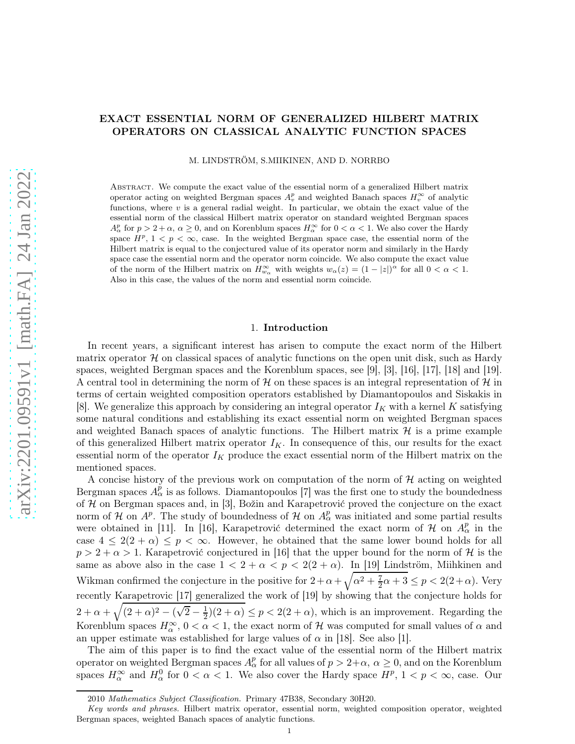## EXACT ESSENTIAL NORM OF GENERALIZED HILBERT MATRIX OPERATORS ON CLASSICAL ANALYTIC FUNCTION SPACES

M. LINDSTRÖM, S.MIIKINEN, AND D. NORRBO

Abstract. We compute the exact value of the essential norm of a generalized Hilbert matrix operator acting on weighted Bergman spaces  $A_v^p$  and weighted Banach spaces  $H_v^{\infty}$  of analytic functions, where  $v$  is a general radial weight. In particular, we obtain the exact value of the essential norm of the classical Hilbert matrix operator on standard weighted Bergman spaces  $A^p_\alpha$  for  $p > 2 + \alpha$ ,  $\alpha \geq 0$ , and on Korenblum spaces  $H^{\infty}_\alpha$  for  $0 < \alpha < 1$ . We also cover the Hardy space  $H^p$ ,  $1 < p < \infty$ , case. In the weighted Bergman space case, the essential norm of the Hilbert matrix is equal to the conjectured value of its operator norm and similarly in the Hardy space case the essential norm and the operator norm coincide. We also compute the exact value of the norm of the Hilbert matrix on  $H_{w_\alpha}^{\infty}$  with weights  $w_\alpha(z) = (1 - |z|)^\alpha$  for all  $0 < \alpha < 1$ . Also in this case, the values of the norm and essential norm coincide.

### 1. Introduction

In recent years, a significant interest has arisen to compute the exact norm of the Hilbert matrix operator  $\mathcal H$  on classical spaces of analytic functions on the open unit disk, such as Hardy spaces, weighted Bergman spaces and the Korenblum spaces, see [\[9\]](#page-22-0), [\[3\]](#page-22-1), [\[16\]](#page-22-2), [\[17\]](#page-22-3), [\[18\]](#page-22-4) and [\[19\]](#page-22-5). A central tool in determining the norm of H on these spaces is an integral representation of H in terms of certain weighted composition operators established by Diamantopoulos and Siskakis in [\[8\]](#page-22-6). We generalize this approach by considering an integral operator  $I_K$  with a kernel K satisfying some natural conditions and establishing its exact essential norm on weighted Bergman spaces and weighted Banach spaces of analytic functions. The Hilbert matrix  $\mathcal{H}$  is a prime example of this generalized Hilbert matrix operator  $I_K$ . In consequence of this, our results for the exact essential norm of the operator  $I_K$  produce the exact essential norm of the Hilbert matrix on the mentioned spaces.

A concise history of the previous work on computation of the norm of  $H$  acting on weighted Bergman spaces  $A_{\alpha}^{\nu}$  is as follows. Diamantopoulos [\[7\]](#page-22-7) was the first one to study the boundedness of  $H$  on Bergman spaces and, in [\[3\]](#page-22-1), Božin and Karapetrović proved the conjecture on the exact norm of H on  $A^p$ . The study of boundedness of H on  $A^p_\alpha$  was initiated and some partial results were obtained in [\[11\]](#page-22-8). In [\[16\]](#page-22-2), Karapetrović determined the exact norm of  $\mathcal{H}$  on  $A_{\alpha}^{p}$  in the case  $4 \leq 2(2+\alpha) \leq p < \infty$ . However, he obtained that the same lower bound holds for all  $p > 2 + \alpha > 1$ . Karapetrović conjectured in [\[16\]](#page-22-2) that the upper bound for the norm of H is the same as above also in the case  $1 < 2 + \alpha < p < 2(2 + \alpha)$ . In [\[19\]](#page-22-5) Lindström, Miihkinen and Wikman confirmed the conjecture in the positive for  $2+\alpha+\sqrt{\alpha^2+\frac{7}{2}\alpha+3} \leq p < 2(2+\alpha)$ . Very recently Karapetrovic [\[17\]](#page-22-3) generalized the work of [\[19\]](#page-22-5) by showing that the conjecture holds for  $2 + \alpha + \sqrt{(2 + \alpha)^2 - (\sqrt{2} - \frac{1}{2})}$  $\frac{1}{2}(2+\alpha) \leq p < 2(2+\alpha)$ , which is an improvement. Regarding the Korenblum spaces  $H_{\alpha}^{\infty}$ ,  $0 < \alpha < 1$ , the exact norm of H was computed for small values of  $\alpha$  and an upper estimate was established for large values of  $\alpha$  in [\[18\]](#page-22-4). See also [\[1\]](#page-22-9).

The aim of this paper is to find the exact value of the essential norm of the Hilbert matrix operator on weighted Bergman spaces  $A_{\alpha}^{p}$  for all values of  $p > 2+\alpha$ ,  $\alpha \geq 0$ , and on the Korenblum spaces  $H_{\alpha}^{\infty}$  and  $H_{\alpha}^{0}$  for  $0 < \alpha < 1$ . We also cover the Hardy space  $H^{p}$ ,  $1 < p < \infty$ , case. Our

<sup>2010</sup> Mathematics Subject Classification. Primary 47B38, Secondary 30H20.

Key words and phrases. Hilbert matrix operator, essential norm, weighted composition operator, weighted Bergman spaces, weighted Banach spaces of analytic functions.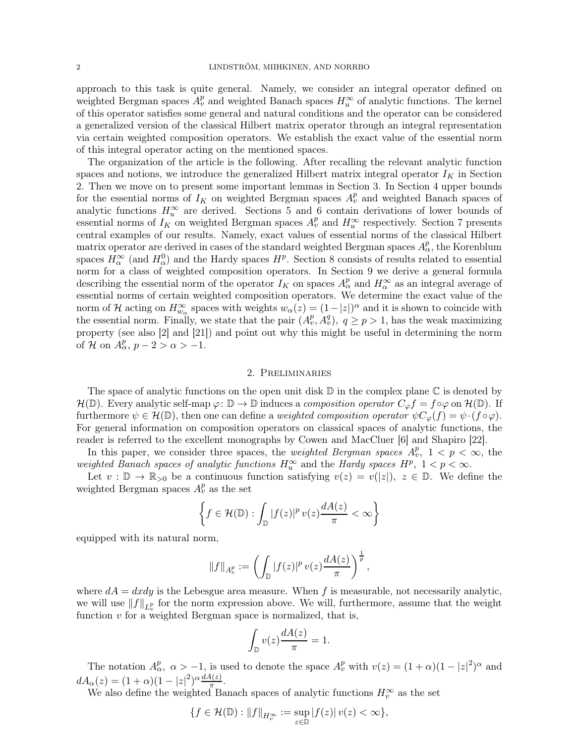approach to this task is quite general. Namely, we consider an integral operator defined on weighted Bergman spaces  $A_v^p$  and weighted Banach spaces  $H_u^{\infty}$  of analytic functions. The kernel of this operator satisfies some general and natural conditions and the operator can be considered a generalized version of the classical Hilbert matrix operator through an integral representation via certain weighted composition operators. We establish the exact value of the essential norm of this integral operator acting on the mentioned spaces.

The organization of the article is the following. After recalling the relevant analytic function spaces and notions, we introduce the generalized Hilbert matrix integral operator  $I_K$  in Section [2.](#page-1-0) Then we move on to present some important lemmas in Section [3.](#page-3-0) In Section [4](#page-4-0) upper bounds for the essential norms of  $I_K$  on weighted Bergman spaces  $A_v^p$  and weighted Banach spaces of analytic functions  $H_u^{\infty}$  are derived. Sections [5](#page-6-0) and [6](#page-10-0) contain derivations of lower bounds of essential norms of  $I_K$  on weighted Bergman spaces  $A_v^p$  and  $H_u^{\infty}$  respectively. Section [7](#page-12-0) presents central examples of our results. Namely, exact values of essential norms of the classical Hilbert matrix operator are derived in cases of the standard weighted Bergman spaces  $A_{\alpha}^{p}$ , the Korenblum spaces  $H_{\alpha}^{\infty}$  (and  $H_{\alpha}^{0}$ ) and the Hardy spaces  $H^{p}$ . Section [8](#page-15-0) consists of results related to essential norm for a class of weighted composition operators. In Section [9](#page-19-0) we derive a general formula describing the essential norm of the operator  $I_K$  on spaces  $A_\alpha^p$  and  $H_\alpha^\infty$  as an integral average of essential norms of certain weighted composition operators. We determine the exact value of the norm of H acting on  $H_{w_\alpha}^{\infty}$  spaces with weights  $w_\alpha(z) = (1-|z|)^\alpha$  and it is shown to coincide with the essential norm. Finally, we state that the pair  $(A_v^p, A_v^q)$ ,  $q \ge p > 1$ , has the weak maximizing property (see also [\[2\]](#page-22-10) and [\[21\]](#page-22-11)) and point out why this might be useful in determining the norm of  $\mathcal{H}$  on  $A_{\alpha}^{p}$ ,  $p-2 > \alpha > -1$ .

### 2. Preliminaries

<span id="page-1-0"></span>The space of analytic functions on the open unit disk  $\mathbb D$  in the complex plane  $\mathbb C$  is denoted by  $\mathcal{H}(\mathbb{D})$ . Every analytic self-map  $\varphi: \mathbb{D} \to \mathbb{D}$  induces a composition operator  $C_{\varphi} f = f \circ \varphi$  on  $\mathcal{H}(\mathbb{D})$ . If furthermore  $\psi \in \mathcal{H}(\mathbb{D})$ , then one can define a *weighted composition operator*  $\psi C_{\varphi}(f) = \psi \cdot (f \circ \varphi)$ . For general information on composition operators on classical spaces of analytic functions, the reader is referred to the excellent monographs by Cowen and MacCluer [\[6\]](#page-22-12) and Shapiro [\[22\]](#page-22-13).

In this paper, we consider three spaces, the *weighted Bergman spaces*  $A_v^p$ ,  $1 < p < \infty$ , the weighted Banach spaces of analytic functions  $H_u^{\infty}$  and the Hardy spaces  $H^p$ ,  $1 < p < \infty$ .

Let  $v : \mathbb{D} \to \mathbb{R}_{>0}$  be a continuous function satisfying  $v(z) = v(|z|)$ ,  $z \in \mathbb{D}$ . We define the weighted Bergman spaces  $A_v^p$  as the set

$$
\left\{f \in \mathcal{H}(\mathbb{D}): \int_{\mathbb{D}} |f(z)|^p v(z) \frac{dA(z)}{\pi} < \infty\right\}
$$

equipped with its natural norm,

$$
||f||_{A_v^p} := \left(\int_{\mathbb{D}} |f(z)|^p v(z) \frac{dA(z)}{\pi}\right)^{\frac{1}{p}},
$$

where  $dA = dxdy$  is the Lebesgue area measure. When f is measurable, not necessarily analytic, we will use  $||f||_{L_v^p}$  for the norm expression above. We will, furthermore, assume that the weight function  $v$  for a weighted Bergman space is normalized, that is,

$$
\int_{\mathbb{D}} v(z) \frac{dA(z)}{\pi} = 1.
$$

The notation  $A_{\alpha}^p$ ,  $\alpha > -1$ , is used to denote the space  $A_v^p$  with  $v(z) = (1 + \alpha)(1 - |z|^2)^{\alpha}$  and  $dA_{\alpha}(z) = (1+\alpha)(1-|z|^2)^{\alpha} \frac{dA(z)}{\pi}.$ 

We also define the weighted Banach spaces of analytic functions  $H_v^{\infty}$  as the set

$$
\{f \in \mathcal{H}(\mathbb{D}): \|f\|_{H_v^{\infty}} := \sup_{z \in \mathbb{D}} |f(z)| \, v(z) < \infty\},
$$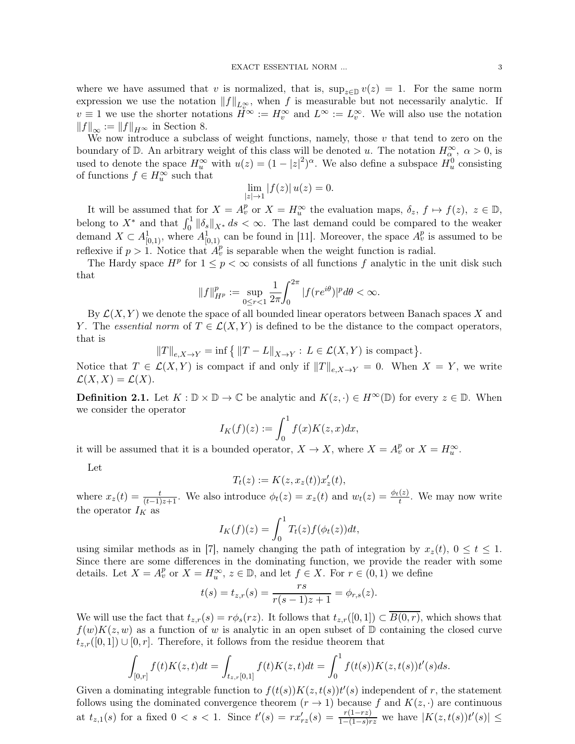where we have assumed that v is normalized, that is,  $\sup_{z\in\mathbb{D}} v(z) = 1$ . For the same norm expression we use the notation  $||f||_{L_v^{\infty}}$ , when f is measurable but not necessarily analytic. If  $v \equiv 1$  we use the shorter notations  $H^{\infty} := H_v^{\infty}$  and  $L^{\infty} := L_v^{\infty}$ . We will also use the notation  $||f||_{\infty} := ||f||_{H^{\infty}}$  in Section [8.](#page-15-0)

We now introduce a subclass of weight functions, namely, those  $v$  that tend to zero on the boundary of  $\mathbb D$ . An arbitrary weight of this class will be denoted u. The notation  $H_{\alpha}^{\infty}$ ,  $\alpha > 0$ , is used to denote the space  $H_u^{\infty}$  with  $u(z) = (1 - |z|^2)^{\alpha}$ . We also define a subspace  $H_u^0$  consisting of functions  $f \in H_u^{\infty}$  such that

$$
\lim_{|z| \to 1} |f(z)| u(z) = 0.
$$

It will be assumed that for  $X = A_v^p$  or  $X = H_u^{\infty}$  the evaluation maps,  $\delta_z$ ,  $f \mapsto f(z)$ ,  $z \in \mathbb{D}$ , belong to  $X^*$  and that  $\int_0^1 \|\delta_s\|_{X^*} ds < \infty$ . The last demand could be compared to the weaker demand  $X \subset A^1_{[0,1)}$ , where  $A^1_{[0,1)}$  can be found in [\[11\]](#page-22-8). Moreover, the space  $A^p_v$  is assumed to be reflexive if  $p > 1$ . Notice that  $A_v^p$  is separable when the weight function is radial.

The Hardy space  $H^p$  for  $1 \leq p < \infty$  consists of all functions f analytic in the unit disk such that

$$
||f||_{H^{p}}^{p} := \sup_{0 \le r < 1} \frac{1}{2\pi} \int_{0}^{2\pi} |f(re^{i\theta})|^{p} d\theta < \infty.
$$

By  $\mathcal{L}(X, Y)$  we denote the space of all bounded linear operators between Banach spaces X and Y. The essential norm of  $T \in \mathcal{L}(X, Y)$  is defined to be the distance to the compact operators, that is

$$
||T||_{e,X\to Y} = \inf \{ ||T - L||_{X\to Y} : L \in \mathcal{L}(X,Y) \text{ is compact} \}.
$$

Notice that  $T \in \mathcal{L}(X, Y)$  is compact if and only if  $||T||_{e, X \to Y} = 0$ . When  $X = Y$ , we write  $\mathcal{L}(X, X) = \mathcal{L}(X).$ 

**Definition 2.1.** Let  $K : \mathbb{D} \times \mathbb{D} \to \mathbb{C}$  be analytic and  $K(z, \cdot) \in H^{\infty}(\mathbb{D})$  for every  $z \in \mathbb{D}$ . When we consider the operator

$$
I_K(f)(z) := \int_0^1 f(x)K(z, x)dx,
$$

it will be assumed that it is a bounded operator,  $X \to X$ , where  $X = A_v^p$  or  $X = H_w^{\infty}$ .

Let

$$
T_t(z) := K(z, x_z(t))x'_z(t),
$$

where  $x_z(t) = \frac{t}{(t-1)z+1}$ . We also introduce  $\phi_t(z) = x_z(t)$  and  $w_t(z) = \frac{\phi_t(z)}{t}$ . We may now write the operator  $I_K$  as

$$
I_K(f)(z) = \int_0^1 T_t(z)f(\phi_t(z))dt,
$$

using similar methods as in [\[7\]](#page-22-7), namely changing the path of integration by  $x_z(t)$ ,  $0 \le t \le 1$ . Since there are some differences in the dominating function, we provide the reader with some details. Let  $X = A_v^p$  or  $X = H_w^{\infty}$ ,  $z \in \mathbb{D}$ , and let  $f \in X$ . For  $r \in (0, 1)$  we define

$$
t(s) = t_{z,r}(s) = \frac{rs}{r(s-1)z+1} = \phi_{r,s}(z).
$$

We will use the fact that  $t_{z,r}(s) = r\phi_s(rz)$ . It follows that  $t_{z,r}([0,1]) \subset \overline{B(0,r)}$ , which shows that  $f(w)K(z, w)$  as a function of w is analytic in an open subset of  $\mathbb D$  containing the closed curve  $t_{z,r}([0,1]) \cup [0,r]$ . Therefore, it follows from the residue theorem that

$$
\int_{[0,r]} f(t)K(z,t)dt = \int_{t_{z,r}[0,1]} f(t)K(z,t)dt = \int_0^1 f(t(s))K(z,t(s))t'(s)ds.
$$

Given a dominating integrable function to  $f(t(s))K(z,t(s))t'(s)$  independent of r, the statement follows using the dominated convergence theorem  $(r \to 1)$  because f and  $K(z, \cdot)$  are continuous at  $t_{z,1}(s)$  for a fixed  $0 < s < 1$ . Since  $t'(s) = rx'_{rz}(s) = \frac{r(1-rz)}{1-(1-s)rz}$  we have  $|K(z,t(s))t'(s)| \le$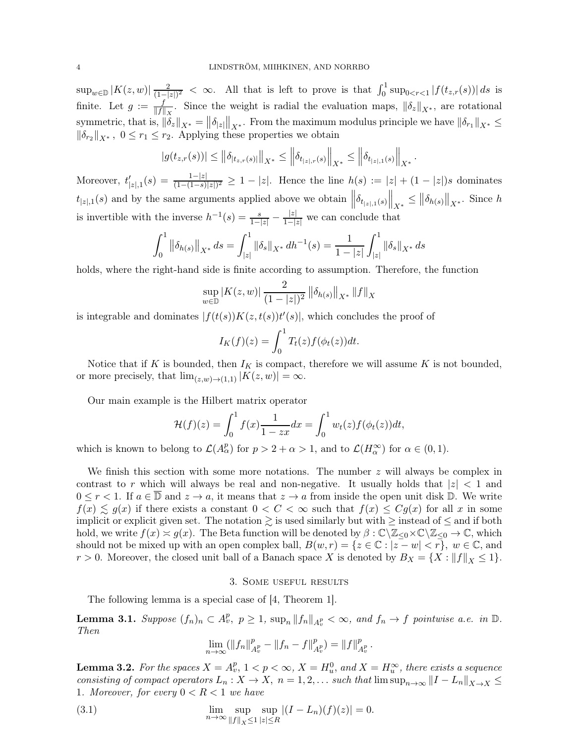$\sup_{w\in\mathbb{D}}|K(z,w)|\,\frac{2}{(1-1)}$  $\frac{2}{(1-|z|)^2}$  < ∞. All that is left to prove is that  $\int_0^1 \sup_{0 \le r \le 1} |f(t_{z,r}(s))| ds$  is finite. Let  $g := \frac{f}{\|f\|}$  $\frac{f}{\|f\|_X}$ . Since the weight is radial the evaluation maps,  $\|\delta_z\|_{X^*}$ , are rotational symmetric, that is,  $\|\delta_z\|_{X^*} = \|\delta_{|z|}\|_{X^*}$ . From the maximum modulus principle we have  $\|\delta_{r_1}\|_{X^*} \le$  $\|\delta_{r_2}\|_{X^*}$ ,  $0 \le r_1 \le r_2$ . Applying these properties we obtain

$$
|g(t_{z,r}(s))| \leq ||\delta_{|t_{z,r}(s)|}||_{X^*} \leq ||\delta_{t_{|z|,r}(s)}||_{X^*} \leq ||\delta_{t_{|z|,1}(s)}||_{X^*}.
$$

Moreover,  $t'_{|z|,1}(s) = \frac{1-|z|}{(1-(1-s)|z|)^2} \ge 1-|z|$ . Hence the line  $h(s) := |z| + (1-|z|)s$  dominates  $t_{|z|,1}(s)$  and by the same arguments applied above we obtain  $\left\|\delta_{t_{|z|,1}(s)}\right\|_{X^*} \leq \left\|\delta_{h(s)}\right\|_{X^*}$ . Since h is invertible with the inverse  $h^{-1}(s) = \frac{s}{1-|z|} - \frac{|z|}{1-|z|}$  $\frac{|z|}{1-|z|}$  we can conclude that

$$
\int_0^1 \left\| \delta_{h(s)} \right\|_{X^*} ds = \int_{|z|}^1 \left\| \delta_s \right\|_{X^*} dh^{-1}(s) = \frac{1}{1 - |z|} \int_{|z|}^1 \left\| \delta_s \right\|_{X^*} ds
$$

holds, where the right-hand side is finite according to assumption. Therefore, the function

$$
\sup_{w \in \mathbb{D}} |K(z, w)| \, \frac{2}{(1 - |z|)^2} \, ||\delta_{h(s)}||_{X^*} \, ||f||_X
$$

is integrable and dominates  $|f(t(s))K(z,t(s))t'(s)|$ , which concludes the proof of

$$
I_K(f)(z) = \int_0^1 T_t(z)f(\phi_t(z))dt.
$$

Notice that if K is bounded, then  $I_K$  is compact, therefore we will assume K is not bounded, or more precisely, that  $\lim_{(z,w)\to(1,1)} |K(z,w)| = \infty$ .

Our main example is the Hilbert matrix operator

$$
\mathcal{H}(f)(z) = \int_0^1 f(x) \frac{1}{1 - zx} dx = \int_0^1 w_t(z) f(\phi_t(z)) dt,
$$

which is known to belong to  $\mathcal{L}(A_{\alpha}^p)$  for  $p > 2 + \alpha > 1$ , and to  $\mathcal{L}(H_{\alpha}^{\infty})$  for  $\alpha \in (0,1)$ .

We finish this section with some more notations. The number  $z$  will always be complex in contrast to r which will always be real and non-negative. It usually holds that  $|z| < 1$  and  $0 \leq r < 1$ . If  $a \in \overline{D}$  and  $z \to a$ , it means that  $z \to a$  from inside the open unit disk  $\overline{D}$ . We write  $f(x) \lesssim g(x)$  if there exists a constant  $0 < C < \infty$  such that  $f(x) \leq Cg(x)$  for all x in some implicit or explicit given set. The notation  $\gtrsim$  is used similarly but with  $\geq$  instead of  $\leq$  and if both hold, we write  $f(x) \approx g(x)$ . The Beta function will be denoted by  $\beta : \mathbb{C} \setminus \mathbb{Z}_{\leq 0} \times \mathbb{C} \setminus \mathbb{Z}_{\leq 0} \to \mathbb{C}$ , which should not be mixed up with an open complex ball,  $B(w,r) = \{z \in \mathbb{C} : |z-w| < r\}, w \in \mathbb{C}$ , and  $r > 0$ . Moreover, the closed unit ball of a Banach space X is denoted by  $B_X = \{X : ||f||_X \leq 1\}$ .

### 3. Some useful results

<span id="page-3-0"></span>The following lemma is a special case of [\[4,](#page-22-14) Theorem 1].

<span id="page-3-1"></span>**Lemma 3.1.** Suppose  $(f_n)_n \subset A_v^p$ ,  $p \ge 1$ ,  $\sup_n ||f_n||_{A_v^p} < \infty$ , and  $f_n \to f$  pointwise a.e. in  $\mathbb{D}$ . Then

<span id="page-3-2"></span>
$$
\lim_{n \to \infty} (\|f_n\|_{A_v^p}^p - \|f_n - f\|_{A_v^p}^p) = \|f\|_{A_v^p}^p.
$$

<span id="page-3-3"></span>**Lemma 3.2.** For the spaces  $X = A_v^p$ ,  $1 < p < \infty$ ,  $X = H_u^0$ , and  $X = H_u^{\infty}$ , there exists a sequence consisting of compact operators  $L_n: X \to X$ ,  $n = 1, 2, \ldots$  such that  $\limsup_{n \to \infty} ||I - L_n||_{X \to X} \le$ 1. Moreover, for every  $0 < R < 1$  we have

(3.1) 
$$
\lim_{n \to \infty} \sup_{\|f\|_X \le 1} \sup_{|z| \le R} |(I - L_n)(f)(z)| = 0.
$$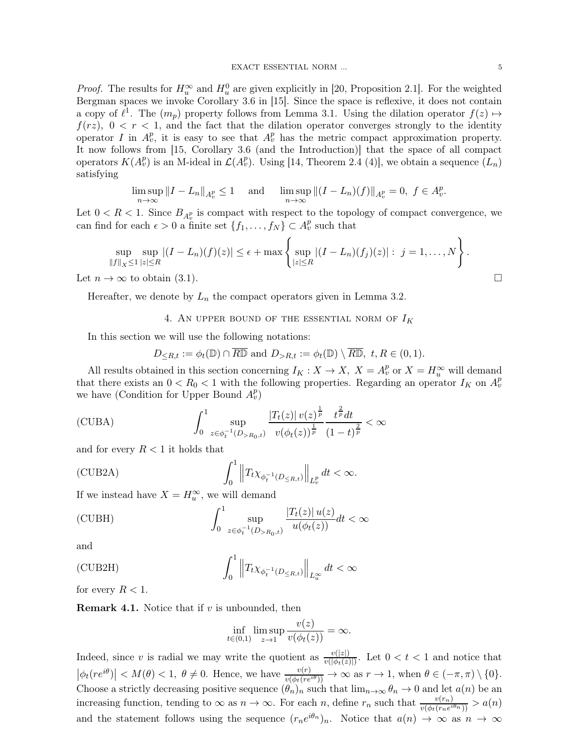*Proof.* The results for  $H_u^{\infty}$  and  $H_u^0$  are given explicitly in [\[20,](#page-22-15) Proposition 2.1]. For the weighted Bergman spaces we invoke Corollary 3.6 in [\[15\]](#page-22-16). Since the space is reflexive, it does not contain a copy of  $\ell^1$ . The  $(m_p)$  property follows from Lemma [3.1.](#page-3-1) Using the dilation operator  $f(z) \mapsto$  $f(rz)$ ,  $0 < r < 1$ , and the fact that the dilation operator converges strongly to the identity operator I in  $A_v^p$ , it is easy to see that  $A_v^p$  has the metric compact approximation property. It now follows from [\[15,](#page-22-16) Corollary 3.6 (and the Introduction)] that the space of all compact operators  $K(A_v^p)$  is an M-ideal in  $\mathcal{L}(A_v^p)$ . Using [\[14,](#page-22-17) Theorem 2.4 (4)], we obtain a sequence  $(L_n)$ satisfying

$$
\limsup_{n \to \infty} ||I - L_n||_{A_v^p} \le 1 \quad \text{and} \quad \limsup_{n \to \infty} ||(I - L_n)(f)||_{A_v^p} = 0, \ f \in A_v^p.
$$

Let  $0 < R < 1$ . Since  $B_{A_v^p}$  is compact with respect to the topology of compact convergence, we can find for each  $\epsilon > 0$  a finite set  $\{f_1, \ldots, f_N\} \subset A_v^p$  such that

$$
\sup_{\|f\|_X\leq 1} \sup_{|z|\leq R} |(I-L_n)(f)(z)| \leq \epsilon + \max\left\{\sup_{|z|\leq R} |(I-L_n)(f_j)(z)| : j=1,\ldots,N\right\}.
$$

Let  $n \to \infty$  to obtain [\(3.1\)](#page-3-2).

<span id="page-4-0"></span>Hereafter, we denote by  $L_n$  the compact operators given in Lemma [3.2.](#page-3-3)

4. AN UPPER BOUND OF THE ESSENTIAL NORM OF  $I_K$ 

In this section we will use the following notations:

$$
D_{\leq R,t} := \phi_t(\mathbb{D}) \cap \overline{R\mathbb{D}}
$$
 and  $D_{>R,t} := \phi_t(\mathbb{D}) \setminus \overline{R\mathbb{D}}$ ,  $t, R \in (0,1)$ .

All results obtained in this section concerning  $I_K : X \to X$ ,  $X = A_v^p$  or  $X = H_w^{\infty}$  will demand that there exists an  $0 < R_0 < 1$  with the following properties. Regarding an operator  $I_K$  on  $A_v^p$ we have (Condition for Upper Bound  $A_v^p$ )

<span id="page-4-1"></span>(CUBA) 
$$
\int_0^1 \sup_{z \in \phi_t^{-1}(D_{>R_0,t})} \frac{|T_t(z)| v(z)^{\frac{1}{p}}}{v(\phi_t(z))^{\frac{1}{p}}} \frac{t^{\frac{2}{p}} dt}{(1-t)^{\frac{2}{p}}} < \infty
$$

and for every  $R < 1$  it holds that

<span id="page-4-2"></span>(CUB2A) 
$$
\int_0^1 \left\| T_t \chi_{\phi_t^{-1}(D_{\leq R,t})} \right\|_{L_v^p} dt < \infty.
$$

If we instead have  $X = H_u^{\infty}$ , we will demand

<span id="page-4-5"></span>(CUBH) 
$$
\int_0^1 \sup_{z \in \phi_t^{-1}(D_{>R_0,t})} \frac{|T_t(z)| u(z)}{u(\phi_t(z))} dt < \infty
$$

and

<span id="page-4-4"></span>(CUB2H) 
$$
\int_0^1 \left\| T_t \chi_{\phi_t^{-1}(D_{\leq R,t})} \right\|_{L^\infty_u} dt < \infty
$$

for every  $R < 1$ .

<span id="page-4-3"></span>**Remark 4.1.** Notice that if  $v$  is unbounded, then

$$
\inf_{t \in (0,1)} \limsup_{z \to 1} \frac{v(z)}{v(\phi_t(z))} = \infty.
$$

Indeed, since v is radial we may write the quotient as  $\frac{v(|z|)}{v(|\phi_t(z)|)}$ . Let  $0 < t < 1$  and notice that  $|\phi_t(re^{i\theta})| < M(\theta) < 1, \ \theta \neq 0.$  Hence, we have  $\frac{v(r)}{v(\phi_t(re^{i\theta}))} \to \infty$  as  $r \to 1$ , when  $\theta \in (-\pi, \pi) \setminus \{0\}.$ Choose a strictly decreasing positive sequence  $(\theta_n)_n$  such that  $\lim_{n\to\infty}\theta_n\to 0$  and let  $a(n)$  be an increasing function, tending to  $\infty$  as  $n \to \infty$ . For each n, define  $r_n$  such that  $\frac{v(r_n)}{v(\phi_t(r_n e^{i\theta_n}))} > a(n)$ and the statement follows using the sequence  $(r_n e^{i\theta_n})_n$ . Notice that  $a(n) \to \infty$  as  $n \to \infty$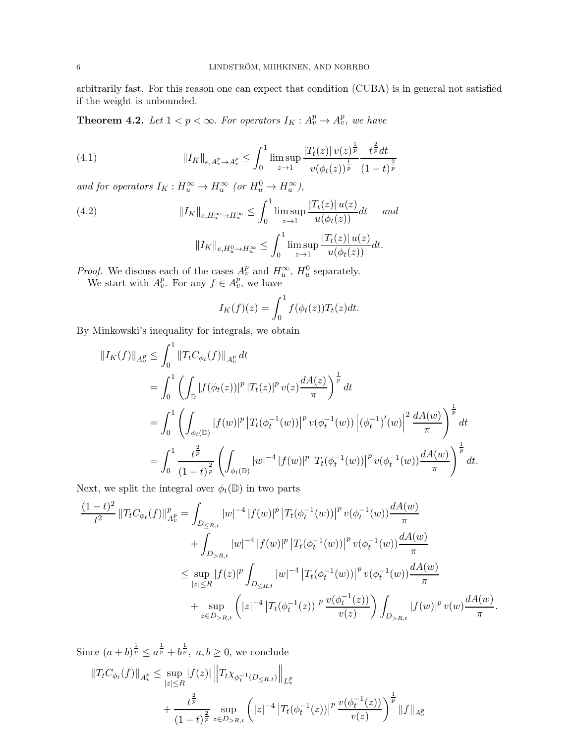arbitrarily fast. For this reason one can expect that condition [\(CUBA\)](#page-4-1) is in general not satisfied if the weight is unbounded.

<span id="page-5-0"></span>**Theorem 4.2.** Let  $1 < p < \infty$ . For operators  $I_K : A_v^p \to A_v^p$ , we have

(4.1) 
$$
||I_K||_{e, A_v^p \to A_v^p} \leq \int_0^1 \limsup_{z \to 1} \frac{|T_t(z)| v(z)^{\frac{1}{p}}}{v(\phi_t(z))^{\frac{1}{p}}} \frac{t^{\frac{2}{p}} dt}{(1-t)^{\frac{2}{p}}}
$$

and for operators  $I_K: H_u^{\infty} \to H_u^{\infty}$  (or  $H_u^0 \to H_u^{\infty}$ ),

(4.2) 
$$
||I_K||_{e, H_u^{\infty} \to H_u^{\infty}} \leq \int_0^1 \limsup_{z \to 1} \frac{|T_t(z)| u(z)}{u(\phi_t(z))} dt \quad and ||I_K||_{e, H_u^0 \to H_u^{\infty}} \leq \int_0^1 \limsup_{z \to 1} \frac{|T_t(z)| u(z)}{u(\phi_t(z))} dt.
$$

*Proof.* We discuss each of the cases  $A_v^p$  and  $H_u^{\infty}$ ,  $H_u^0$  separately.

We start with  $A_v^p$ . For any  $f \in A_v^p$ , we have

$$
I_K(f)(z) = \int_0^1 f(\phi_t(z))T_t(z)dt.
$$

By Minkowski's inequality for integrals, we obtain

$$
||I_{K}(f)||_{A_{v}^{p}} \leq \int_{0}^{1} ||T_{t}C_{\phi_{t}}(f)||_{A_{v}^{p}} dt
$$
  
\n
$$
= \int_{0}^{1} \left( \int_{\mathbb{D}} |f(\phi_{t}(z))|^{p} |T_{t}(z)|^{p} v(z) \frac{dA(z)}{\pi} \right)^{\frac{1}{p}} dt
$$
  
\n
$$
= \int_{0}^{1} \left( \int_{\phi_{t}(\mathbb{D})} |f(w)|^{p} |T_{t}(\phi_{t}^{-1}(w))|^{p} v(\phi_{t}^{-1}(w)) |(\phi_{t}^{-1})'(w)|^{2} \frac{dA(w)}{\pi} \right)^{\frac{1}{p}} dt
$$
  
\n
$$
= \int_{0}^{1} \frac{t^{\frac{2}{p}}}{(1-t)^{\frac{2}{p}}} \left( \int_{\phi_{t}(\mathbb{D})} |w|^{-4} |f(w)|^{p} |T_{t}(\phi_{t}^{-1}(w))|^{p} v(\phi_{t}^{-1}(w)) \frac{dA(w)}{\pi} \right)^{\frac{1}{p}} dt.
$$

Next, we split the integral over  $\phi_t(\mathbb{D})$  in two parts

$$
\frac{(1-t)^2}{t^2} ||T_t C_{\phi_t}(f)||_{A_v^p}^p = \int_{D_{\le R,t}} |w|^{-4} |f(w)|^p |T_t(\phi_t^{-1}(w))|^p v(\phi_t^{-1}(w)) \frac{dA(w)}{\pi}
$$
  
+ 
$$
\int_{D_{>R,t}} |w|^{-4} |f(w)|^p |T_t(\phi_t^{-1}(w))|^p v(\phi_t^{-1}(w)) \frac{dA(w)}{\pi}
$$
  

$$
\le \sup_{|z| \le R} |f(z)|^p \int_{D_{\le R,t}} |w|^{-4} |T_t(\phi_t^{-1}(w))|^p v(\phi_t^{-1}(w)) \frac{dA(w)}{\pi}
$$
  
+ 
$$
\sup_{z \in D_{>R,t}} (|z|^{-4} |T_t(\phi_t^{-1}(z))|^p \frac{v(\phi_t^{-1}(z))}{v(z)} ) \int_{D_{>R,t}} |f(w)|^p v(w) \frac{dA(w)}{\pi}
$$

.

Since  $(a + b)^{\frac{1}{p}} \le a^{\frac{1}{p}} + b^{\frac{1}{p}}, a, b \ge 0$ , we conclude

$$
||T_{t}C_{\phi_{t}}(f)||_{A_{v}^{p}} \leq \sup_{|z| \leq R} |f(z)| \left\| T_{t} \chi_{\phi_{t}^{-1}(D_{\leq R,t})} \right\|_{L_{v}^{p}}
$$
  
+ 
$$
\frac{t^{\frac{2}{p}}}{(1-t)^{\frac{2}{p}}} \sup_{z \in D_{>R,t}} \left( |z|^{-4} |T_{t}(\phi_{t}^{-1}(z))|^{p} \frac{v(\phi_{t}^{-1}(z))}{v(z)} \right)^{\frac{1}{p}} ||f||_{A_{v}^{p}}
$$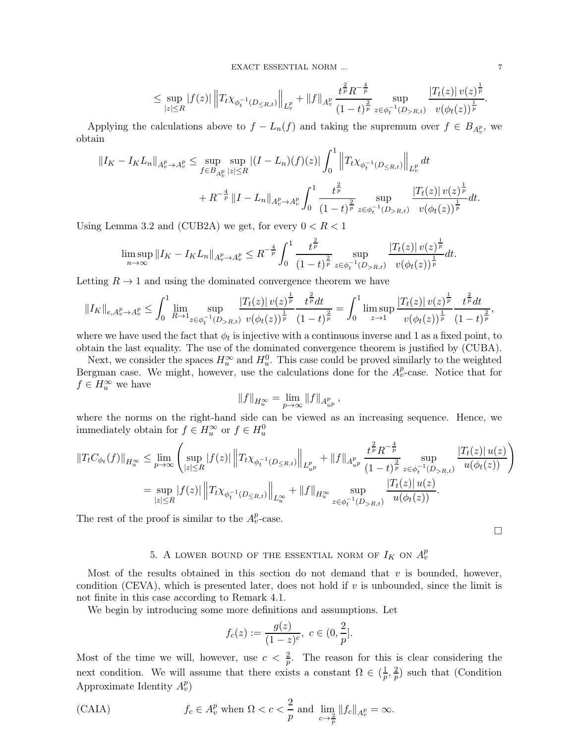$$
\leq \sup_{|z| \leq R} |f(z)| \left\| T_t \chi_{\phi_t^{-1}(D_{\leq R,t})} \right\|_{L_v^p} + \|f\|_{A_v^p} \frac{t^{\frac{2}{p}} R^{-\frac{4}{p}}}{(1-t)^{\frac{2}{p}}} \sup_{z \in \phi_t^{-1}(D_{>R,t})} \frac{|T_t(z)| v(z)^{\frac{1}{p}}}{v(\phi_t(z))^{\frac{1}{p}}}.
$$

Applying the calculations above to  $f - L_n(f)$  and taking the supremum over  $f \in B_{A_v^p}$ , we obtain

$$
||I_{K} - I_{K}L_{n}||_{A_{v}^{p}\to A_{v}^{p}} \leq \sup_{f\in B_{A_{v}^{p}}}|I_{v}||(I-L_{n})(f)(z)||\int_{0}^{1} \left\|T_{t}\chi_{\phi_{t}^{-1}(D_{\leq R,t})}\right\|_{L_{v}^{p}}dt
$$
  
+  $R^{-\frac{4}{p}}||I-L_{n}||_{A_{v}^{p}\to A_{v}^{p}}\int_{0}^{1} \frac{t^{\frac{2}{p}}}{(1-t)^{\frac{2}{p}}}\sup_{z\in\phi_{t}^{-1}(D_{>R,t})}\frac{|T_{t}(z)|v(z)^{\frac{1}{p}}}{v(\phi_{t}(z))^{\frac{1}{p}}}dt.$ 

Using Lemma [3.2](#page-3-3) and [\(CUB2A\)](#page-4-2) we get, for every  $0 < R < 1$ 

$$
\limsup_{n\to\infty}||I_K - I_K L_n||_{A_v^p \to A_v^p} \leq R^{-\frac{4}{p}} \int_0^1 \frac{t^{\frac{2}{p}}}{(1-t)^{\frac{2}{p}}} \sup_{z \in \phi_t^{-1}(D_{>R,t})} \frac{|T_t(z)| \, v(z)^{\frac{1}{p}}}{v(\phi_t(z))^{\frac{1}{p}}} dt.
$$

Letting  $R \to 1$  and using the dominated convergence theorem we have

$$
||I_K||_{e,A_v^p\to A_v^p} \leq \int_0^1 \lim_{R\to 1} \sup_{z\in\phi_t^{-1}(D_{>R,t})} \frac{|T_t(z)| v(z)^{\frac{1}{p}}}{v(\phi_t(z))^{\frac{1}{p}}} \frac{t^{\frac{2}{p}} dt}{(1-t)^{\frac{2}{p}}} = \int_0^1 \limsup_{z\to 1} \frac{|T_t(z)| v(z)^{\frac{1}{p}}}{v(\phi_t(z))^{\frac{1}{p}}} \frac{t^{\frac{2}{p}} dt}{(1-t)^{\frac{2}{p}}},
$$

where we have used the fact that  $\phi_t$  is injective with a continuous inverse and 1 as a fixed point, to obtain the last equality. The use of the dominated convergence theorem is justified by [\(CUBA\)](#page-4-1).

Next, we consider the spaces  $H_u^{\infty}$  and  $H_u^0$ . This case could be proved similarly to the weighted Bergman case. We might, however, use the calculations done for the  $A_v^p$ -case. Notice that for  $f \in H_u^{\infty}$  we have

$$
||f||_{H^{\infty}_{u}} = \lim_{p \to \infty} ||f||_{A^{p}_{u}p} ,
$$

where the norms on the right-hand side can be viewed as an increasing sequence. Hence, we immediately obtain for  $f \in H_u^{\infty}$  or  $f \in H_u^0$ 

$$
||T_{t}C_{\phi_{t}}(f)||_{H_{u}^{\infty}} \leq \lim_{p \to \infty} \left( \sup_{|z| \leq R} |f(z)| \left\| T_{t} \chi_{\phi_{t}^{-1}(D_{\leq R,t})} \right\|_{L_{u}^{p}} + ||f||_{A_{u}^{p}} \frac{t^{\frac{2}{p}} R^{-\frac{4}{p}}}{(1-t)^{\frac{2}{p}} z \epsilon \phi_{t}^{-1}(D_{>R,t})} \frac{|T_{t}(z)| u(z)}{u(\phi_{t}(z))} \right)
$$
  

$$
= \sup_{|z| \leq R} |f(z)| \left\| T_{t} \chi_{\phi_{t}^{-1}(D_{\leq R,t})} \right\|_{L_{u}^{\infty}} + ||f||_{H_{u}^{\infty}} \sup_{z \in \phi_{t}^{-1}(D_{>R,t})} \frac{|T_{t}(z)| u(z)}{u(\phi_{t}(z))}.
$$

<span id="page-6-0"></span>The rest of the proof is similar to the  $A_v^p$ -case.

 $\Box$ 

# 5. A LOWER BOUND OF THE ESSENTIAL NORM OF  $I_K$  on  $A_v^p$

Most of the results obtained in this section do not demand that  $v$  is bounded, however, condition [\(CEVA\)](#page-7-0), which is presented later, does not hold if  $v$  is unbounded, since the limit is not finite in this case according to Remark [4.1.](#page-4-3)

We begin by introducing some more definitions and assumptions. Let

$$
f_c(z) := \frac{g(z)}{(1-z)^c}, \ c \in (0, \frac{2}{p}].
$$

Most of the time we will, however, use  $c < \frac{2}{p}$ . The reason for this is clear considering the next condition. We will assume that there exists a constant  $\Omega \in (\frac{1}{p}, \frac{2}{p})$  such that (Condition Approximate Identity  $A_v^p$ )

<span id="page-6-1"></span>(CAIA) 
$$
f_c \in A_v^p \text{ when } \Omega < c < \frac{2}{p} \text{ and } \lim_{c \to \frac{2}{p}} \|f_c\|_{A_v^p} = \infty.
$$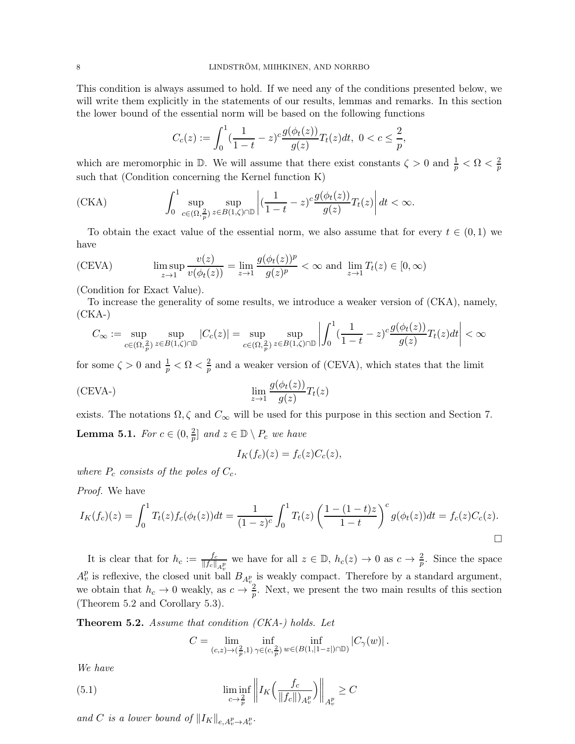This condition is always assumed to hold. If we need any of the conditions presented below, we will write them explicitly in the statements of our results, lemmas and remarks. In this section the lower bound of the essential norm will be based on the following functions

$$
C_c(z) := \int_0^1 \left(\frac{1}{1-t} - z\right)^c \frac{g(\phi_t(z))}{g(z)} T_t(z) dt, \ 0 < c \le \frac{2}{p},
$$

which are meromorphic in  $\mathbb{D}$ . We will assume that there exist constants  $\zeta > 0$  and  $\frac{1}{p} < \Omega < \frac{2}{p}$ such that (Condition concerning the Kernel function K)

<span id="page-7-1"></span>
$$
\text{(CKA)} \qquad \qquad \int_0^1 \sup_{c \in (\Omega, \frac{2}{p})} \sup_{z \in B(1, \zeta) \cap \mathbb{D}} \left| \left( \frac{1}{1-t} - z \right)^c \frac{g(\phi_t(z))}{g(z)} T_t(z) \right| dt < \infty.
$$

To obtain the exact value of the essential norm, we also assume that for every  $t \in (0,1)$  we have

<span id="page-7-0"></span>
$$
\text{(CEVA)} \qquad \qquad \limsup_{z \to 1} \frac{v(z)}{v(\phi_t(z))} = \lim_{z \to 1} \frac{g(\phi_t(z))^p}{g(z)^p} < \infty \text{ and } \lim_{z \to 1} T_t(z) \in [0, \infty)
$$

(Condition for Exact Value).

<span id="page-7-3"></span>To increase the generality of some results, we introduce a weaker version of [\(CKA\)](#page-7-1), namely, (CKA-)

$$
C_{\infty} := \sup_{c \in (\Omega, \frac{2}{p})} \sup_{z \in B(1,\zeta) \cap \mathbb{D}} |C_c(z)| = \sup_{c \in (\Omega, \frac{2}{p})} \sup_{z \in B(1,\zeta) \cap \mathbb{D}} \left| \int_0^1 (\frac{1}{1-t} - z)^c \frac{g(\phi_t(z))}{g(z)} T_t(z) dt \right| < \infty
$$

for some  $\zeta > 0$  and  $\frac{1}{p} < \Omega < \frac{2}{p}$  and a weaker version of [\(CEVA\)](#page-7-0), which states that the limit

<span id="page-7-6"></span>(CEVA-)  

$$
\lim_{z \to 1} \frac{g(\phi_t(z))}{g(z)} T_t(z)
$$

<span id="page-7-5"></span>exists. The notations  $\Omega, \zeta$  and  $C_{\infty}$  will be used for this purpose in this section and Section [7.](#page-12-0) **Lemma 5.1.** For  $c \in (0, \frac{2}{p}]$  and  $z \in \mathbb{D} \setminus P_c$  we have

$$
I_K(f_c)(z) = f_c(z)C_c(z),
$$

where  $P_c$  consists of the poles of  $C_c$ .

Proof. We have

$$
I_K(f_c)(z) = \int_0^1 T_t(z) f_c(\phi_t(z)) dt = \frac{1}{(1-z)^c} \int_0^1 T_t(z) \left(\frac{1-(1-t)z}{1-t}\right)^c g(\phi_t(z)) dt = f_c(z) C_c(z).
$$

It is clear that for  $h_c := \frac{f_c}{||f_c||}$  $\frac{f_c}{\|f_c\|_{A_v^p}}$  we have for all  $z \in \mathbb{D}$ ,  $h_c(z) \to 0$  as  $c \to \frac{2}{p}$ . Since the space  $A_v^p$  is reflexive, the closed unit ball  $B_{A_v^p}$  is weakly compact. Therefore by a standard argument, we obtain that  $h_c \to 0$  weakly, as  $c \to \frac{2}{p}$ . Next, we present the two main results of this section (Theorem [5.2](#page-7-2) and Corollary [5.3\)](#page-8-0).

<span id="page-7-2"></span>**Theorem 5.2.** Assume that condition [\(CKA-\)](#page-7-3) holds. Let

<span id="page-7-4"></span>
$$
C = \lim_{(c,z)\to(\frac{2}{p},1)} \inf_{\gamma \in (c,\frac{2}{p})} \inf_{w \in (B(1,|1-z|)\cap \mathbb{D})} |C_{\gamma}(w)|.
$$

We have

(5.1) 
$$
\liminf_{c \to \frac{2}{p}} \left\| I_K \left( \frac{f_c}{\|f_c\|_{A_v^p}} \right) \right\|_{A_v^p} \ge C
$$

and C is a lower bound of  $||I_K||_{e, A_v^p \to A_v^p}$ .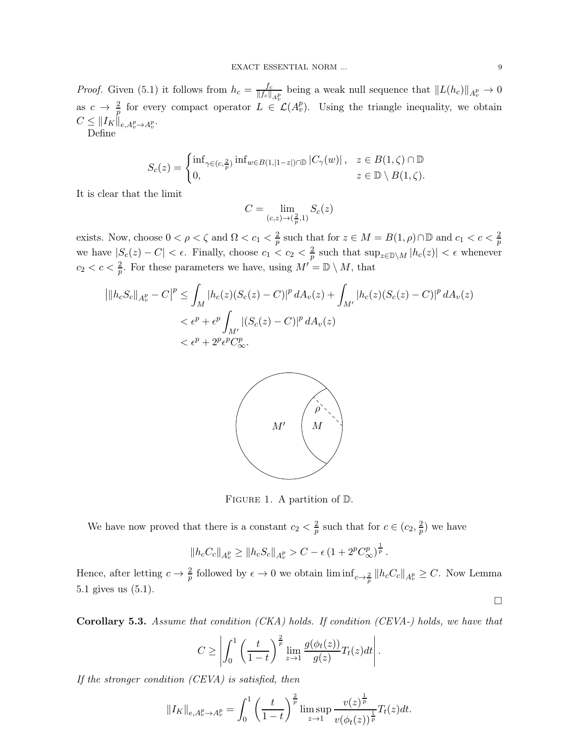*Proof.* Given [\(5.1\)](#page-7-4) it follows from  $h_c = \frac{f_c}{||f_c||}$  $\frac{J_c}{\|f_c\|_{A_v^p}}$  being a weak null sequence that  $||L(h_c)||_{A_v^p} \to 0$ as  $c \to \frac{2}{p}$  for every compact operator  $L \in \mathcal{L}(A_v^p)$ . Using the triangle inequality, we obtain  $C \leq \|I_K\|_{e, A_v^p \to A_v^p}.$ 

Define

$$
S_c(z) = \begin{cases} \inf_{\gamma \in (c, \frac{2}{p})} \inf_{w \in B(1, |1-z|) \cap \mathbb{D}} |C_{\gamma}(w)| \,, & z \in B(1, \zeta) \cap \mathbb{D} \\ 0, & z \in \mathbb{D} \setminus B(1, \zeta). \end{cases}
$$

It is clear that the limit

$$
C = \lim_{(c,z)\to(\frac{2}{p},1)} S_c(z)
$$

exists. Now, choose  $0 < \rho < \zeta$  and  $\Omega < c_1 < \frac{2}{n}$ exists. Now, choose  $0 < \rho < \zeta$  and  $\Omega < c_1 < \frac{2}{p}$  such that for  $z \in M = B(1, \rho) \cap \mathbb{D}$  and  $c_1 < c < \frac{2}{p}$  we have  $|S_c(z) - C| < \epsilon$ . Finally, choose  $c_1 < c_2 < \frac{2}{p}$  such that  $\sup_{z \in \mathbb{D} \setminus M} |h_c(z)| < \epsilon$  whenever  $c_2 < c < \frac{2}{p}$ . For these parameters we have, using  $M' = \mathbb{D} \setminus M$ , that

$$
\begin{aligned} \left| \| h_c S_c \|_{A_v^p} - C \right|^p &\leq \int_M |h_c(z) (S_c(z) - C)|^p \, dA_v(z) + \int_{M'} |h_c(z) (S_c(z) - C)|^p \, dA_v(z) \\ &< \epsilon^p + \epsilon^p \int_{M'} |(S_c(z) - C)|^p \, dA_v(z) \\ &< \epsilon^p + 2^p \epsilon^p C_\infty^p. \end{aligned}
$$



FIGURE 1. A partition of  $D$ .

We have now proved that there is a constant  $c_2 < \frac{2}{n}$  $\frac{2}{p}$  such that for  $c \in (c_2, \frac{2}{p})$  $\frac{2}{p}$ ) we have

$$
||h_c C_c||_{A_v^p} \ge ||h_c S_c||_{A_v^p} > C - \epsilon (1 + 2^p C_{\infty}^p)^{\frac{1}{p}}.
$$

Hence, after letting  $c \to \frac{2}{p}$  followed by  $\epsilon \to 0$  we obtain  $\liminf_{c \to \frac{2}{p}} ||h_c C_c||_{A_v^p} \geq C$ . Now Lemma [5.1](#page-7-5) gives us [\(5.1\)](#page-7-4).  $\Box$ 

<span id="page-8-0"></span>Corollary 5.3. Assume that condition [\(CKA\)](#page-7-1) holds. If condition [\(CEVA-\)](#page-7-6) holds, we have that

$$
C \geq \left| \int_0^1 \left( \frac{t}{1-t} \right)^{\frac{2}{p}} \lim_{z \to 1} \frac{g(\phi_t(z))}{g(z)} T_t(z) dt \right|.
$$

If the stronger condition [\(CEVA\)](#page-7-0) is satisfied, then

$$
||I_K||_{e,A_v^p \to A_v^p} = \int_0^1 \left(\frac{t}{1-t}\right)^{\frac{2}{p}} \limsup_{z \to 1} \frac{v(z)^{\frac{1}{p}}}{v(\phi_t(z))^{\frac{1}{p}}} T_t(z) dt.
$$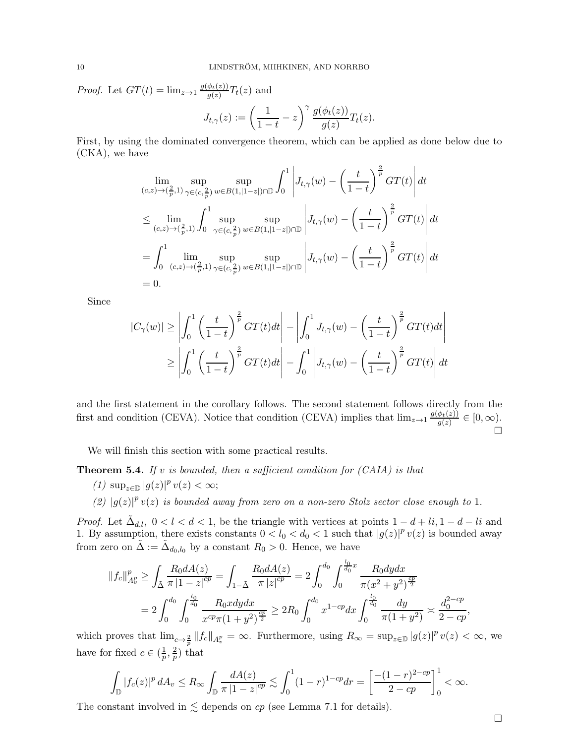*Proof.* Let  $GT(t) = \lim_{z \to 1} \frac{g(\phi_t(z))}{g(z)}$  $\frac{\varphi_t(z))}{g(z)}T_t(z)$  and

$$
J_{t,\gamma}(z) := \left(\frac{1}{1-t} - z\right)^{\gamma} \frac{g(\phi_t(z))}{g(z)} T_t(z).
$$

First, by using the dominated convergence theorem, which can be applied as done below due to [\(CKA\)](#page-7-1), we have

$$
\lim_{(c,z)\to(\frac{2}{p},1)}\sup_{\gamma\in(c,\frac{2}{p})}\sup_{w\in B(1,|1-z|)\cap\mathbb{D}}\int_0^1\left|J_{t,\gamma}(w)-\left(\frac{t}{1-t}\right)^{\frac{2}{p}}GT(t)\right|dt
$$
\n
$$
\leq \lim_{(c,z)\to(\frac{2}{p},1)}\int_0^1\sup_{\gamma\in(c,\frac{2}{p})}\sup_{w\in B(1,|1-z|)\cap\mathbb{D}}\left|J_{t,\gamma}(w)-\left(\frac{t}{1-t}\right)^{\frac{2}{p}}GT(t)\right|dt
$$
\n
$$
=\int_0^1\lim_{(c,z)\to(\frac{2}{p},1)}\sup_{\gamma\in(c,\frac{2}{p})}\sup_{w\in B(1,|1-z|)\cap\mathbb{D}}\left|J_{t,\gamma}(w)-\left(\frac{t}{1-t}\right)^{\frac{2}{p}}GT(t)\right|dt
$$
\n= 0.

Since

$$
|C_{\gamma}(w)| \geq \left| \int_0^1 \left( \frac{t}{1-t} \right)^{\frac{2}{p}} GT(t) dt \right| - \left| \int_0^1 J_{t,\gamma}(w) - \left( \frac{t}{1-t} \right)^{\frac{2}{p}} GT(t) dt \right|
$$
  

$$
\geq \left| \int_0^1 \left( \frac{t}{1-t} \right)^{\frac{2}{p}} GT(t) dt \right| - \int_0^1 \left| J_{t,\gamma}(w) - \left( \frac{t}{1-t} \right)^{\frac{2}{p}} GT(t) \right| dt
$$

and the first statement in the corollary follows. The second statement follows directly from the first and condition [\(CEVA\)](#page-7-0). Notice that condition (CEVA) implies that  $\lim_{z\to 1} \frac{g(\phi_t(z))}{g(z)}$  $\frac{\varphi_t(z))}{g(z)} \in [0,\infty).$  $\Box$ 

We will finish this section with some practical results.

<span id="page-9-0"></span>**Theorem 5.4.** If v is bounded, then a sufficient condition for  $(CAIA)$  is that

- (1)  $\sup_{z \in \mathbb{D}} |g(z)|^p v(z) < \infty;$
- (2)  $|g(z)|^p v(z)$  is bounded away from zero on a non-zero Stolz sector close enough to 1.

*Proof.* Let  $\tilde{\Delta}_{d,l}$ ,  $0 < l < d < 1$ , be the triangle with vertices at points  $1 - d + li, 1 - d - li$  and 1. By assumption, there exists constants  $0 < l_0 < d_0 < 1$  such that  $|g(z)|^p v(z)$  is bounded away from zero on  $\tilde{\Delta} := \tilde{\Delta}_{d_0, l_0}$  by a constant  $R_0 > 0$ . Hence, we have

$$
||f_c||_{A_v^p}^p \ge \int_{\tilde{\Delta}} \frac{R_0 dA(z)}{\pi |1-z|^{cp}} = \int_{1-\tilde{\Delta}} \frac{R_0 dA(z)}{\pi |z|^{cp}} = 2 \int_0^{d_0} \int_0^{\frac{l_0}{d_0}x} \frac{R_0 dy dx}{\pi (x^2 + y^2)^{\frac{cp}{2}}} = 2 \int_0^{d_0} \int_0^{\frac{l_0}{d_0}} \frac{R_0 x dy dx}{x^{cp} \pi (1 + y^2)^{\frac{cp}{2}}} \ge 2R_0 \int_0^{d_0} x^{1 - cp} dx \int_0^{\frac{l_0}{d_0}} \frac{dy}{\pi (1 + y^2)} \asymp \frac{d_0^{2 - cp}}{2 - cp},
$$

which proves that  $\lim_{c\to\frac{2}{p}}\|f_c\|_{A_v^p}=\infty$ . Furthermore, using  $R_\infty=\sup_{z\in\mathbb{D}}|g(z)|^p v(z)<\infty$ , we have for fixed  $c \in (\frac{1}{p}, \frac{2}{p})$  that

$$
\int_{\mathbb{D}} |f_c(z)|^p dA_v \le R_\infty \int_{\mathbb{D}} \frac{dA(z)}{\pi |1-z|^{cp}} \lesssim \int_0^1 (1-r)^{1-cp} dr = \left[ \frac{-(1-r)^{2-cp}}{2-cp} \right]_0^1 < \infty.
$$

The constant involved in  $\lesssim$  depends on  $cp$  (see Lemma [7.1](#page-12-1) for details).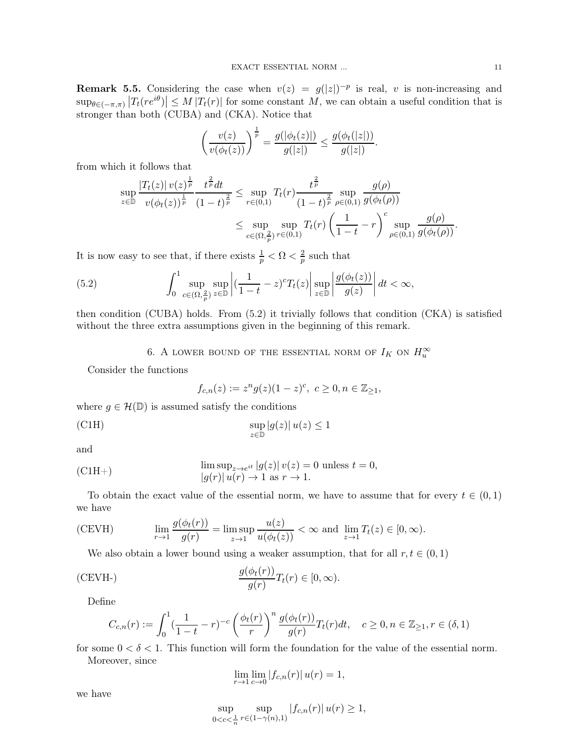<span id="page-10-6"></span>**Remark 5.5.** Considering the case when  $v(z) = g(|z|)^{-p}$  is real, v is non-increasing and  $\sup_{\theta \in (-\pi,\pi)} |T_t(re^{i\theta})| \leq M |T_t(r)|$  for some constant M, we can obtain a useful condition that is stronger than both [\(CUBA\)](#page-4-1) and [\(CKA\)](#page-7-1). Notice that

$$
\left(\frac{v(z)}{v(\phi_t(z))}\right)^{\frac{1}{p}} = \frac{g(|\phi_t(z)|)}{g(|z|)} \le \frac{g(\phi_t(|z|))}{g(|z|)}.
$$

from which it follows that

$$
\sup_{z \in \mathbb{D}} \frac{|T_t(z)| \, v(z)^{\frac{1}{p}}}{v(\phi_t(z))^{\frac{1}{p}}} \frac{t^{\frac{2}{p}} dt}{(1-t)^{\frac{2}{p}}} \le \sup_{r \in (0,1)} T_t(r) \frac{t^{\frac{2}{p}}}{(1-t)^{\frac{2}{p}} \, \rho \in (0,1)} \frac{g(\rho)}{g(\phi_t(\rho))}
$$

$$
\le \sup_{c \in (\Omega, \frac{2}{p})} \sup_{r \in (0,1)} T_t(r) \left(\frac{1}{1-t} - r\right)^c \sup_{\rho \in (0,1)} \frac{g(\rho)}{g(\phi_t(\rho))}.
$$

It is now easy to see that, if there exists  $\frac{1}{p} < \Omega < \frac{2}{p}$  such that

(5.2) 
$$
\int_0^1 \sup_{c \in (\Omega, \frac{2}{p})} \sup_{z \in \mathbb{D}} \left| (\frac{1}{1-t} - z)^c T_t(z) \right| \sup_{z \in \mathbb{D}} \left| \frac{g(\phi_t(z))}{g(z)} \right| dt < \infty,
$$

<span id="page-10-0"></span>then condition [\(CUBA\)](#page-4-1) holds. From [\(5.2\)](#page-10-1) it trivially follows that condition [\(CKA\)](#page-7-1) is satisfied without the three extra assumptions given in the beginning of this remark.

<span id="page-10-1"></span>6. A LOWER BOUND OF THE ESSENTIAL NORM OF  $I_K$  on  $H_u^{\infty}$ 

Consider the functions

$$
f_{c,n}(z) := z^n g(z) (1-z)^c, \ c \ge 0, n \in \mathbb{Z}_{\ge 1},
$$

where  $g \in \mathcal{H}(\mathbb{D})$  is assumed satisfy the conditions

<span id="page-10-3"></span>
$$
\sup_{z \in \mathbb{D}} |g(z)| u(z) \le 1
$$

and

<span id="page-10-5"></span>
$$
\text{(C1H+)} \qquad \qquad \limsup_{z \to e^{it}} |g(z)| \, v(z) = 0 \text{ unless } t = 0, \\
|g(r)| \, u(r) \to 1 \text{ as } r \to 1.
$$

To obtain the exact value of the essential norm, we have to assume that for every  $t \in (0,1)$ we have

<span id="page-10-4"></span>
$$
\text{(CEVH)} \qquad \qquad \lim_{r \to 1} \frac{g(\phi_t(r))}{g(r)} = \limsup_{z \to 1} \frac{u(z)}{u(\phi_t(z))} < \infty \text{ and } \lim_{z \to 1} T_t(z) \in [0, \infty).
$$

We also obtain a lower bound using a weaker assumption, that for all  $r, t \in (0, 1)$ 

<span id="page-10-2"></span>(CEVH-) 
$$
\frac{g(\phi_t(r))}{g(r)}T_t(r) \in [0,\infty).
$$

Define

$$
C_{c,n}(r) := \int_0^1 \left(\frac{1}{1-t} - r\right)^{-c} \left(\frac{\phi_t(r)}{r}\right)^n \frac{g(\phi_t(r))}{g(r)} T_t(r) dt, \quad c \ge 0, n \in \mathbb{Z}_{\ge 1}, r \in (\delta, 1)
$$

for some  $0 < \delta < 1$ . This function will form the foundation for the value of the essential norm. Moreover, since

$$
\lim_{r \to 1} \lim_{c \to 0} |f_{c,n}(r)| u(r) = 1,
$$

we have

$$
\sup_{0 < c < \frac{1}{n}} \sup_{r \in (1 - \gamma(n), 1)} |f_{c,n}(r)| u(r) \ge 1,
$$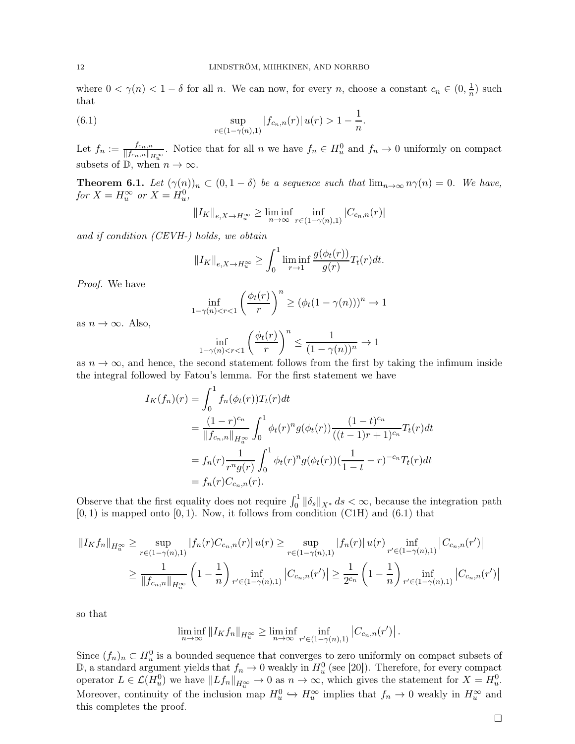where  $0 < \gamma(n) < 1 - \delta$  for all n. We can now, for every n, choose a constant  $c_n \in (0, \frac{1}{n})$  such that

(6.1) 
$$
\sup_{r \in (1-\gamma(n),1)} |f_{c_n,n}(r)| u(r) > 1 - \frac{1}{n}.
$$

Let  $f_n := \frac{f_{c_n,n}}{\|f_{c_n,n}\|}$  $\frac{f_{c_n,n}}{\|f_{c_n,n}\|_{H_u^{\infty}}}$ . Notice that for all n we have  $f_n \in H_u^0$  and  $f_n \to 0$  uniformly on compact subsets of  $\mathbb{D}$ , when  $n \to \infty$ .

<span id="page-11-1"></span>**Theorem 6.1.** Let  $(\gamma(n))_n \subset (0, 1 - \delta)$  be a sequence such that  $\lim_{n \to \infty} n\gamma(n) = 0$ . We have, for  $X = H_u^{\infty}$  or  $X = H_u^0$ ,

<span id="page-11-0"></span>
$$
||I_K||_{e,X\to H_u^{\infty}} \ge \liminf_{n\to\infty} \inf_{r\in(1-\gamma(n),1)} |C_{c_n,n}(r)|
$$

and if condition [\(CEVH-\)](#page-10-2) holds, we obtain

$$
||I_K||_{e,X \to H_u^{\infty}} \ge \int_0^1 \liminf_{r \to 1} \frac{g(\phi_t(r))}{g(r)} T_t(r) dt.
$$

Proof. We have

$$
\inf_{1-\gamma(n)< r< 1}\left(\frac{\phi_t(r)}{r}\right)^n \ge (\phi_t(1-\gamma(n)))^n \to 1
$$

as  $n \to \infty$ . Also,

$$
\inf_{1-\gamma(n)< r< 1} \left(\frac{\phi_t(r)}{r}\right)^n \le \frac{1}{(1-\gamma(n))^n} \to 1
$$

as  $n \to \infty$ , and hence, the second statement follows from the first by taking the infimum inside the integral followed by Fatou's lemma. For the first statement we have

$$
I_K(f_n)(r) = \int_0^1 f_n(\phi_t(r)) T_t(r) dt
$$
  
= 
$$
\frac{(1-r)^{c_n}}{\|f_{c_n,n}\|_{H^{\infty}_u}} \int_0^1 \phi_t(r)^n g(\phi_t(r)) \frac{(1-t)^{c_n}}{((t-1)r+1)^{c_n}} T_t(r) dt
$$
  
= 
$$
f_n(r) \frac{1}{r^n g(r)} \int_0^1 \phi_t(r)^n g(\phi_t(r)) (\frac{1}{1-t} - r)^{-c_n} T_t(r) dt
$$
  
= 
$$
f_n(r) C_{c_n,n}(r).
$$

Observe that the first equality does not require  $\int_0^1 \|\delta_s\|_{X^*} ds < \infty$ , because the integration path  $[0, 1)$  is mapped onto  $[0, 1)$ . Now, it follows from condition  $(C1H)$  and  $(6.1)$  that

$$
||I_K f_n||_{H^\infty_u} \ge \sup_{r \in (1 - \gamma(n), 1)} |f_n(r)C_{c_n, n}(r)| u(r) \ge \sup_{r \in (1 - \gamma(n), 1)} |f_n(r)| u(r) \inf_{r' \in (1 - \gamma(n), 1)} |C_{c_n, n}(r')|
$$
  

$$
\ge \frac{1}{||f_{c_n, n}||_{H^\infty_u}} \left(1 - \frac{1}{n}\right) \inf_{r' \in (1 - \gamma(n), 1)} |C_{c_n, n}(r')| \ge \frac{1}{2^{c_n}} \left(1 - \frac{1}{n}\right) \inf_{r' \in (1 - \gamma(n), 1)} |C_{c_n, n}(r')|
$$

so that

$$
\liminf_{n\to\infty} ||I_K f_n||_{H^{\infty}_u} \geq \liminf_{n\to\infty} \inf_{r' \in (1-\gamma(n),1)} |C_{c_n,n}(r')|.
$$

Since  $(f_n)_n \subset H_u^0$  is a bounded sequence that converges to zero uniformly on compact subsets of  $\mathbb{D}$ , a standard argument yields that  $f_n \to 0$  weakly in  $H_u^0$  (see [\[20\]](#page-22-15)). Therefore, for every compact operator  $L \in \mathcal{L}(H_u^0)$  we have  $||Lf_n||_{H_u^{\infty}} \to 0$  as  $n \to \infty$ , which gives the statement for  $X = H_u^0$ . Moreover, continuity of the inclusion map  $H_u^0 \hookrightarrow H_u^{\infty}$  implies that  $f_n \to 0$  weakly in  $H_u^{\infty}$  and this completes the proof.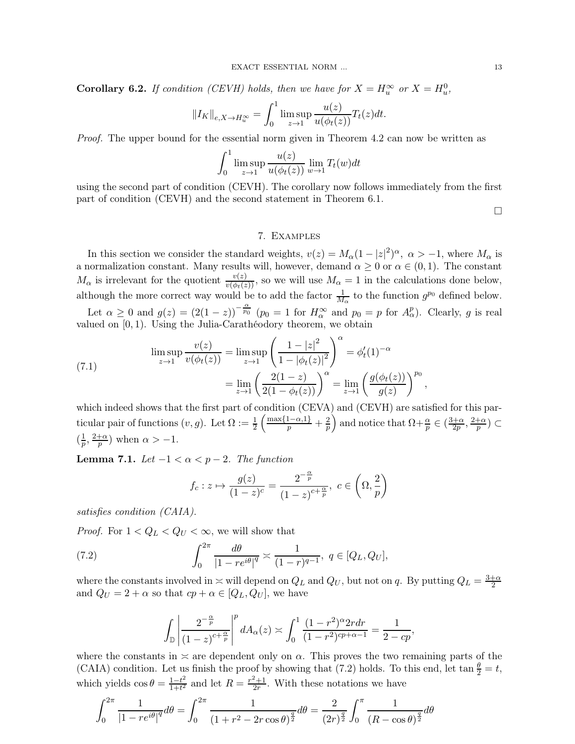<span id="page-12-4"></span>**Corollary 6.2.** If condition [\(CEVH\)](#page-10-4) holds, then we have for  $X = H_w^{\infty}$  or  $X = H_v^0$ ,

$$
||I_K||_{e,X \to H_u^{\infty}} = \int_0^1 \limsup_{z \to 1} \frac{u(z)}{u(\phi_t(z))} T_t(z) dt.
$$

Proof. The upper bound for the essential norm given in Theorem [4.2](#page-5-0) can now be written as

$$
\int_0^1 \limsup_{z \to 1} \frac{u(z)}{u(\phi_t(z))} \lim_{w \to 1} T_t(w) dt
$$

using the second part of condition [\(CEVH\)](#page-10-4). The corollary now follows immediately from the first part of condition [\(CEVH\)](#page-10-4) and the second statement in Theorem [6.1.](#page-11-1)

 $\Box$ 

,

### 7. Examples

<span id="page-12-0"></span>In this section we consider the standard weights,  $v(z) = M_\alpha (1 - |z|^2)^\alpha$ ,  $\alpha > -1$ , where  $M_\alpha$  is a normalization constant. Many results will, however, demand  $\alpha \geq 0$  or  $\alpha \in (0,1)$ . The constant  $M_{\alpha}$  is irrelevant for the quotient  $\frac{v(z)}{v(\phi_t(z))}$ , so we will use  $M_{\alpha} = 1$  in the calculations done below, although the more correct way would be to add the factor  $\frac{1}{M_{\alpha}}$  to the function  $g^{p_0}$  defined below.

Let  $\alpha \geq 0$  and  $g(z) = (2(1-z))^{-\frac{\alpha}{p_0}}$   $(p_0 = 1$  for  $H_\alpha^{\infty}$  and  $p_0 = p$  for  $A_\alpha^p$ . Clearly, g is real valued on [0, 1). Using the Julia-Carathéodory theorem, we obtain

<span id="page-12-3"></span>(7.1) 
$$
\limsup_{z \to 1} \frac{v(z)}{v(\phi_t(z))} = \limsup_{z \to 1} \left( \frac{1 - |z|^2}{1 - |\phi_t(z)|^2} \right)^{\alpha} = \phi'_t(1)^{-\alpha}
$$

$$
= \lim_{z \to 1} \left( \frac{2(1 - z)}{2(1 - \phi_t(z))} \right)^{\alpha} = \lim_{z \to 1} \left( \frac{g(\phi_t(z))}{g(z)} \right)^{p_0}
$$

which indeed shows that the first part of condition [\(CEVA\)](#page-7-0) and [\(CEVH\)](#page-10-4) are satisfied for this particular pair of functions  $(v, g)$ . Let  $\Omega := \frac{1}{2} \left( \frac{\max\{1-\alpha, 1\}}{p} + \frac{2}{p} \right)$  and notice that  $\Omega + \frac{\alpha}{p} \in \left( \frac{3+\alpha}{2p} \right)$  $\frac{+\alpha}{2p}, \frac{2+\alpha}{p}) \subset$  $\left(\frac{1}{p}, \frac{2+\alpha}{p}\right)$  when  $\alpha > -1$ .

<span id="page-12-1"></span>Lemma 7.1. Let  $-1 < \alpha < p-2$ . The function

$$
f_c: z \mapsto \frac{g(z)}{(1-z)^c} = \frac{2^{-\frac{\alpha}{p}}}{(1-z)^{c+\frac{\alpha}{p}}}, \ c \in \left(\Omega, \frac{2}{p}\right)
$$

satisfies condition [\(CAIA\)](#page-6-1).

*Proof.* For  $1 < Q_L < Q_U < \infty$ , we will show that

(7.2) 
$$
\int_0^{2\pi} \frac{d\theta}{|1 - re^{i\theta}|^q} \asymp \frac{1}{(1 - r)^{q - 1}}, \ q \in [Q_L, Q_U],
$$

where the constants involved in  $\approx$  will depend on  $Q_L$  and  $Q_U$ , but not on q. By putting  $Q_L = \frac{3+\alpha}{2}$ 2 and  $Q_U = 2 + \alpha$  so that  $cp + \alpha \in [Q_L, Q_U]$ , we have

<span id="page-12-2"></span>
$$
\int_{\mathbb{D}} \left| \frac{2^{-\frac{\alpha}{p}}}{(1-z)^{c+\frac{\alpha}{p}}} \right|^p dA_{\alpha}(z) \asymp \int_0^1 \frac{(1-r^2)^{\alpha} 2r dr}{(1-r^2)^{cp+\alpha-1}} = \frac{1}{2-cp},
$$

where the constants in  $\leq$  are dependent only on  $\alpha$ . This proves the two remaining parts of the [\(CAIA\)](#page-6-1) condition. Let us finish the proof by showing that [\(7.2\)](#page-12-2) holds. To this end, let  $\tan \frac{\theta}{2} = t$ , which yields  $\cos \theta = \frac{1-t^2}{1+t^2}$  $\frac{1-t^2}{1+t^2}$  and let  $R = \frac{r^2+1}{2r}$  $\frac{2+1}{2r}$ . With these notations we have

$$
\int_0^{2\pi} \frac{1}{|1 - re^{i\theta}|^q} d\theta = \int_0^{2\pi} \frac{1}{(1 + r^2 - 2r\cos\theta)^{\frac{q}{2}}} d\theta = \frac{2}{(2r)^{\frac{q}{2}}} \int_0^{\pi} \frac{1}{(R - \cos\theta)^{\frac{q}{2}}} d\theta
$$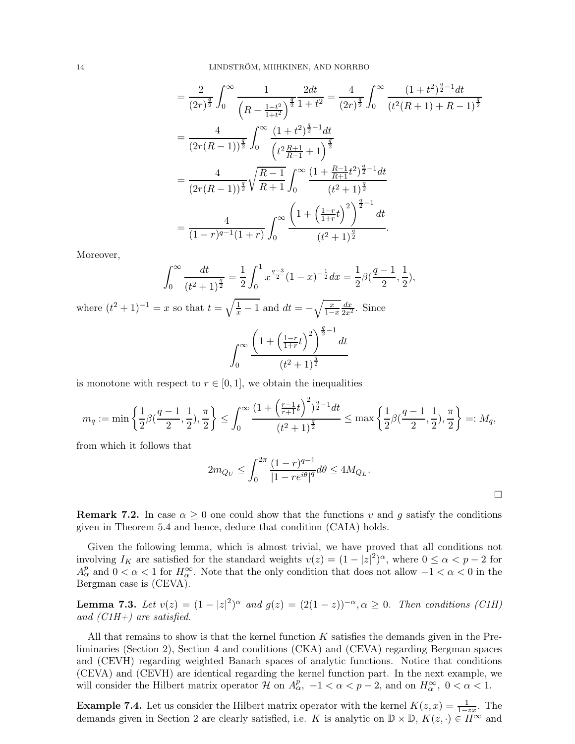$$
= \frac{2}{(2r)^{\frac{q}{2}}} \int_0^\infty \frac{1}{\left(R - \frac{1 - t^2}{1 + t^2}\right)^{\frac{q}{2}}} \frac{2dt}{1 + t^2} = \frac{4}{(2r)^{\frac{q}{2}}} \int_0^\infty \frac{(1 + t^2)^{\frac{q}{2} - 1} dt}{(t^2 (R + 1) + R - 1)^{\frac{q}{2}}}
$$
  
\n
$$
= \frac{4}{(2r(R - 1))^{\frac{q}{2}}} \int_0^\infty \frac{(1 + t^2)^{\frac{q}{2} - 1} dt}{\left(t^2 \frac{R + 1}{R - 1} + 1\right)^{\frac{q}{2}}}
$$
  
\n
$$
= \frac{4}{(2r(R - 1))^{\frac{q}{2}}} \sqrt{\frac{R - 1}{R + 1}} \int_0^\infty \frac{(1 + \frac{R - 1}{R + 1} t^2)^{\frac{q}{2} - 1} dt}{(t^2 + 1)^{\frac{q}{2}}}
$$
  
\n
$$
= \frac{4}{(1 - r)^{q - 1} (1 + r)} \int_0^\infty \frac{\left(1 + \left(\frac{1 - r}{1 + r} t\right)^2\right)^{\frac{q}{2} - 1} dt}{(t^2 + 1)^{\frac{q}{2}}} dt
$$

Moreover,

$$
\int_0^\infty \frac{dt}{(t^2+1)^{\frac{q}{2}}} = \frac{1}{2} \int_0^1 x^{\frac{q-3}{2}} (1-x)^{-\frac{1}{2}} dx = \frac{1}{2} \beta \left( \frac{q-1}{2}, \frac{1}{2} \right),
$$

where  $(t^2 + 1)^{-1} = x$  so that  $t = \sqrt{\frac{1}{x} - 1}$  and  $dt = -\sqrt{\frac{x}{1-x}}$  $\frac{dx}{2x^2}$ . Since  $\int^{\infty}$ 0  $\left(1+\left(\frac{1-r}{1+r}\right)\right)$  $\frac{1-r}{1+r}t\bigg)^2\bigg)^{\frac{q}{2}-1}$ dt  $(t^2+1)^{\frac{q}{2}}$ 2

is monotone with respect to  $r \in [0, 1]$ , we obtain the inequalities

$$
m_q:=\min\left\{\frac{1}{2}\beta(\frac{q-1}{2},\frac{1}{2}),\frac{\pi}{2}\right\}\leq\int_0^\infty\frac{\big(1+\Big(\frac{r-1}{r+1}t\Big)^2\big)^{\frac{q}{2}-1}dt}{(t^2+1)^{\frac{q}{2}}}\leq\max\left\{\frac{1}{2}\beta(\frac{q-1}{2},\frac{1}{2}),\frac{\pi}{2}\right\}=:M_q,
$$

from which it follows that

$$
2m_{Q_U} \le \int_0^{2\pi} \frac{(1-r)^{q-1}}{|1-re^{i\theta}|^q} d\theta \le 4M_{Q_L}.
$$

**Remark 7.2.** In case  $\alpha \geq 0$  one could show that the functions v and g satisfy the conditions given in Theorem [5.4](#page-9-0) and hence, deduce that condition [\(CAIA\)](#page-6-1) holds.

Given the following lemma, which is almost trivial, we have proved that all conditions not involving  $I_K$  are satisfied for the standard weights  $v(z) = (1 - |z|^2)^\alpha$ , where  $0 \le \alpha < p - 2$  for  $A_{\alpha}^{p}$  and  $0 < \alpha < 1$  for  $H_{\alpha}^{\infty}$ . Note that the only condition that does not allow  $-1 < \alpha < 0$  in the Bergman case is [\(CEVA\)](#page-7-0).

**Lemma 7.3.** Let  $v(z) = (1 - |z|^2)^\alpha$  and  $g(z) = (2(1 - z))^{-\alpha}, \alpha \ge 0$ . Then conditions [\(C1H\)](#page-10-3) and  $(C1H+)$  are satisfied.

All that remains to show is that the kernel function  $K$  satisfies the demands given in the Preliminaries (Section [2\)](#page-1-0), Section [4](#page-4-0) and conditions [\(CKA\)](#page-7-1) and [\(CEVA\)](#page-7-0) regarding Bergman spaces and [\(CEVH\)](#page-10-4) regarding weighted Banach spaces of analytic functions. Notice that conditions [\(CEVA\)](#page-7-0) and [\(CEVH\)](#page-10-4) are identical regarding the kernel function part. In the next example, we will consider the Hilbert matrix operator  $\mathcal{H}$  on  $A_{\alpha}^p$ ,  $-1 < \alpha < p-2$ , and on  $H_{\alpha}^{\infty}$ ,  $0 < \alpha < 1$ .

**Example 7.4.** Let us consider the Hilbert matrix operator with the kernel  $K(z, x) = \frac{1}{1-zx}$ . The demands given in Section [2](#page-1-0) are clearly satisfied, i.e. K is analytic on  $\mathbb{D} \times \mathbb{D}$ ,  $K(z, \cdot) \in H^{\infty}$  and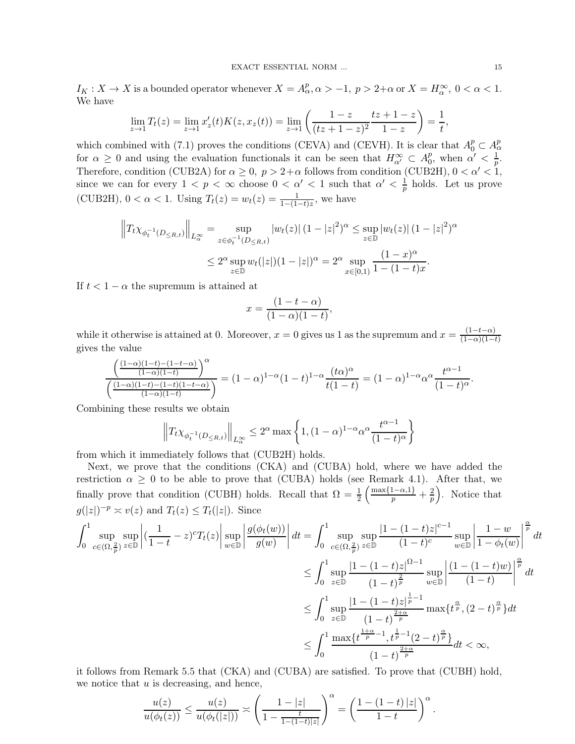$I_K: X \to X$  is a bounded operator whenever  $X = A_{\alpha}^p, \alpha > -1, p > 2+\alpha$  or  $X = H_{\alpha}^{\infty}, 0 < \alpha < 1$ . We have

$$
\lim_{z \to 1} T_t(z) = \lim_{z \to 1} x'_z(t) K(z, x_z(t)) = \lim_{z \to 1} \left( \frac{1-z}{(tz+1-z)^2} \frac{tz+1-z}{1-z} \right) = \frac{1}{t},
$$

which combined with [\(7.1\)](#page-12-3) proves the conditions [\(CEVA\)](#page-7-0) and [\(CEVH\)](#page-10-4). It is clear that  $A_0^p \,\subset A_\alpha^p$ for  $\alpha \geq 0$  and using the evaluation functionals it can be seen that  $H_{\alpha'}^{\infty} \subset A_0^p$  $_p^p$ , when  $\alpha' < \frac{1}{p}$ . Therefore, condition [\(CUB2A\)](#page-4-2) for  $\alpha \geq 0$ ,  $p > 2+\alpha$  follows from condition [\(CUB2H\)](#page-4-4),  $0 < \alpha' < 1$ , since we can for every  $1 < p < \infty$  choose  $0 < \alpha' < 1$  such that  $\alpha' < \frac{1}{p}$  holds. Let us prove [\(CUB2H\)](#page-4-4),  $0 < \alpha < 1$ . Using  $T_t(z) = w_t(z) = \frac{1}{1 - (1 - t)z}$ , we have

$$
\left\|T_{t}\chi_{\phi_{t}^{-1}(D_{\leq R,t})}\right\|_{L^{\infty}_{\alpha}} = \sup_{z \in \phi_{t}^{-1}(D_{\leq R,t})} |w_{t}(z)| (1 - |z|^{2})^{\alpha} \leq \sup_{z \in \mathbb{D}} |w_{t}(z)| (1 - |z|^{2})^{\alpha}
$$
  

$$
\leq 2^{\alpha} \sup_{z \in \mathbb{D}} w_{t}(|z|)(1 - |z|)^{\alpha} = 2^{\alpha} \sup_{x \in [0,1)} \frac{(1 - x)^{\alpha}}{1 - (1 - t)x}.
$$

If  $t < 1 - \alpha$  the supremum is attained at

$$
x = \frac{(1 - t - \alpha)}{(1 - \alpha)(1 - t)},
$$

while it otherwise is attained at 0. Moreover,  $x = 0$  gives us 1 as the supremum and  $x = \frac{(1-t-\alpha)}{(1-\alpha)(1-t)}$  $(1-\alpha)(1-t)$ gives the value

$$
\frac{\left(\frac{(1-\alpha)(1-t)-(1-t-\alpha)}{(1-\alpha)(1-t)}\right)^{\alpha}}{\left(\frac{(1-\alpha)(1-t)-(1-t)(1-t-\alpha)}{(1-\alpha)(1-t)}\right)} = (1-\alpha)^{1-\alpha}(1-t)^{1-\alpha}\frac{(t\alpha)^{\alpha}}{t(1-t)} = (1-\alpha)^{1-\alpha}\alpha^{\alpha}\frac{t^{\alpha-1}}{(1-t)^{\alpha}}.
$$

Combining these results we obtain

$$
\left\|T_t\chi_{\phi_t^{-1}(D_{\leq R,t})}\right\|_{L^{\infty}_{\alpha}} \leq 2^{\alpha} \max\left\{1, (1-\alpha)^{1-\alpha} \alpha^{\alpha} \frac{t^{\alpha-1}}{(1-t)^{\alpha}}\right\}
$$

from which it immediately follows that [\(CUB2H\)](#page-4-4) holds.

Next, we prove that the conditions [\(CKA\)](#page-7-1) and [\(CUBA\)](#page-4-1) hold, where we have added the restriction  $\alpha \geq 0$  to be able to prove that [\(CUBA\)](#page-4-1) holds (see Remark [4.1\)](#page-4-3). After that, we finally prove that condition [\(CUBH\)](#page-4-5) holds. Recall that  $\Omega = \frac{1}{2} \left( \frac{\max\{1-\alpha,1\}}{p} + \frac{2}{p} \right)$  $\binom{2}{p}$ . Notice that  $g(|z|)^{-p} \asymp v(z)$  and  $T_t(z) \leq T_t(|z|)$ . Since

$$
\int_{0}^{1} \sup_{c \in (\Omega, \frac{2}{p})} \sup_{z \in \mathbb{D}} \left| (\frac{1}{1-t} - z)^{c} T_{t}(z) \right| \sup_{w \in \mathbb{D}} \left| \frac{g(\phi_{t}(w))}{g(w)} \right| dt = \int_{0}^{1} \sup_{c \in (\Omega, \frac{2}{p})} \sup_{z \in \mathbb{D}} \frac{\left| 1 - (1-t)z \right|^{c-1}}{(1-t)^{c}} \sup_{w \in \mathbb{D}} \left| \frac{1-w}{1-\phi_{t}(w)} \right|^{\frac{\alpha}{p}} dt
$$
  
\n
$$
\leq \int_{0}^{1} \sup_{z \in \mathbb{D}} \frac{\left| 1 - (1-t)z \right|^{2-1}}{(1-t)^{\frac{\alpha}{p}}} \sup_{w \in \mathbb{D}} \left| \frac{(1 - (1-t)w)}{(1-t)} \right|^{\frac{\alpha}{p}} dt
$$
  
\n
$$
\leq \int_{0}^{1} \sup_{z \in \mathbb{D}} \frac{\left| 1 - (1-t)z \right|^{2-1}}{(1-t)^{\frac{2}{p}}} \max \{ t^{\frac{\alpha}{p}}, (2-t)^{\frac{\alpha}{p}} \} dt
$$
  
\n
$$
\leq \int_{0}^{1} \frac{\max \{ t^{\frac{1+\alpha}{p}-1}, t^{\frac{1}{p}-1} (2-t)^{\frac{\alpha}{p}} \}}{(1-t)^{\frac{2+\alpha}{p}}} dt < \infty,
$$

it follows from Remark [5.5](#page-10-6) that [\(CKA\)](#page-7-1) and [\(CUBA\)](#page-4-1) are satisfied. To prove that [\(CUBH\)](#page-4-5) hold, we notice that  $u$  is decreasing, and hence,

$$
\frac{u(z)}{u(\phi_t(z))} \leq \frac{u(z)}{u(\phi_t(|z|))} \asymp \left(\frac{1-|z|}{1-\frac{t}{1-(1-t)|z|}}\right)^{\alpha} = \left(\frac{1-(1-t)|z|}{1-t}\right)^{\alpha}.
$$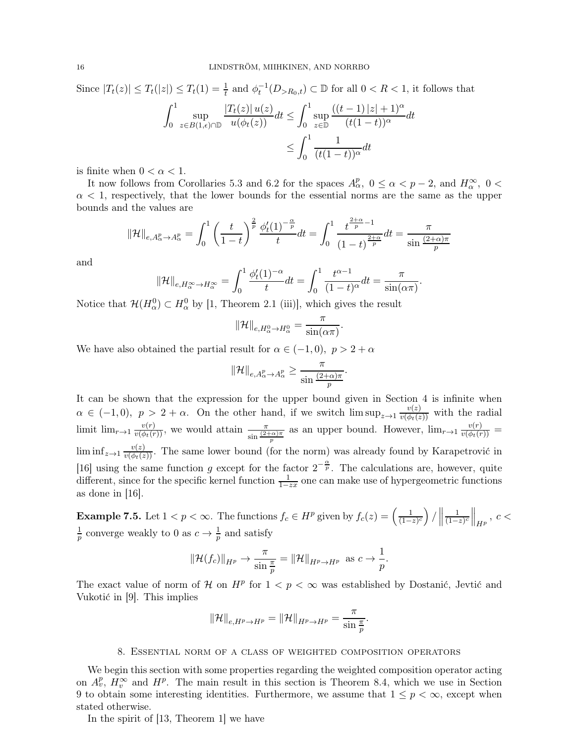Since  $|T_t(z)| \leq T_t(|z|) \leq T_t(1) = \frac{1}{t}$  and  $\phi_t^{-1}(D_{>R_0,t}) \subset \mathbb{D}$  for all  $0 < R < 1$ , it follows that  $\int_1^1$ 0 sup  $z{\in}B(\overline{1,\epsilon}){\cap}\mathbb{D}$  $\frac{|T_t(z)|}{u(\phi_t(z))}dt \leq$  $\int_0^1$  $\boldsymbol{0}$ sup z∈D  $((t-1)|z|+1)^{\alpha}$  $\frac{1}{(t(1-t))^{\alpha}}dt$ ≤  $\int_1^1$  $\boldsymbol{0}$ 1  $\frac{1}{(t(1-t))^{\alpha}}dt$ 

is finite when  $0 < \alpha < 1$ .

It now follows from Corollaries [5.3](#page-8-0) and [6.2](#page-12-4) for the spaces  $A_{\alpha}^p$ ,  $0 \le \alpha < p-2$ , and  $H_{\alpha}^{\infty}$ ,  $0 <$  $\alpha$  < 1, respectively, that the lower bounds for the essential norms are the same as the upper bounds and the values are

$$
\|\mathcal{H}\|_{e,A^p_\alpha \to A^p_\alpha} = \int_0^1 \left(\frac{t}{1-t}\right)^{\frac{2}{p}} \frac{\phi_t'(1)^{-\frac{\alpha}{p}}}{t} dt = \int_0^1 \frac{t^{\frac{2+\alpha}{p}-1}}{(1-t)^{\frac{2+\alpha}{p}}} dt = \frac{\pi}{\sin\frac{(2+\alpha)\pi}{p}}
$$

and

$$
\|\mathcal{H}\|_{e, H_{\alpha}^{\infty} \to H_{\alpha}^{\infty}} = \int_{0}^{1} \frac{\phi_t'(1)^{-\alpha}}{t} dt = \int_{0}^{1} \frac{t^{\alpha-1}}{(1-t)^{\alpha}} dt = \frac{\pi}{\sin(\alpha \pi)}.
$$

Notice that  $\mathcal{H}(H_\alpha^0) \subset H_\alpha^0$  by [\[1,](#page-22-9) Theorem 2.1 (iii)], which gives the result

$$
\|\mathcal{H}\|_{e,H^0_\alpha\to H^0_\alpha}=\frac{\pi}{\sin(\alpha\pi)}.
$$

We have also obtained the partial result for  $\alpha \in (-1,0), p > 2 + \alpha$ 

$$
\|\mathcal{H}\|_{e,A^p_\alpha\to A^p_\alpha}\geq \frac{\pi}{\sin\frac{(2+\alpha)\pi}{p}}.
$$

It can be shown that the expression for the upper bound given in Section [4](#page-4-0) is infinite when  $\alpha \in (-1,0), \ p > 2 + \alpha.$  On the other hand, if we switch  $\limsup_{z\to 1} \frac{v(z)}{v(\phi_t(z))}$  with the radial limit  $\lim_{r\to 1} \frac{v(r)}{v(\phi_t(r))}$ , we would attain  $\frac{\pi}{\sin\frac{(2+\alpha)\pi}{p}}$  as an upper bound. However,  $\lim_{r\to 1} \frac{v(r)}{v(\phi_t(r))}$  =  $\liminf_{z\to 1} \frac{v(z)}{v(\phi_t(z))}$ . The same lower bound (for the norm) was already found by Karapetrović in [\[16\]](#page-22-2) using the same function g except for the factor  $2^{-\frac{\alpha}{p}}$ . The calculations are, however, quite different, since for the specific kernel function  $\frac{1}{1-zx}$  one can make use of hypergeometric functions as done in [\[16\]](#page-22-2).

**Example 7.5.** Let  $1 < p < \infty$ . The functions  $f_c \in H^p$  given by  $f_c(z) = \left(\frac{1}{(1-z)^2}\right)^{1/2}$  $\frac{1}{(1-z)^c}\bigg) / \bigg\|$ 1  $\frac{1}{(1-z)^c}$   $\Big\|_{H^p}$ ,  $c$  < 1  $\frac{1}{p}$  converge weakly to 0 as  $c \to \frac{1}{p}$  and satisfy

$$
\|\mathcal{H}(f_c)\|_{H^p} \to \frac{\pi}{\sin\frac{\pi}{p}} = \|\mathcal{H}\|_{H^p \to H^p} \text{ as } c \to \frac{1}{p}.
$$

The exact value of norm of H on  $H^p$  for  $1 < p < \infty$  was established by Dostanić, Jevtić and Vukotić in [\[9\]](#page-22-0). This implies

$$
\left\Vert \mathcal{H}\right\Vert _{e,H^{p}\rightarrow H^{p}}=\left\Vert \mathcal{H}\right\Vert _{H^{p}\rightarrow H^{p}}=\frac{\pi}{\sin\frac{\pi}{p}}.
$$

### 8. Essential norm of a class of weighted composition operators

<span id="page-15-0"></span>We begin this section with some properties regarding the weighted composition operator acting on  $A_v^p$ ,  $H_v^{\infty}$  and  $H^p$ . The main result in this section is Theorem [8.4,](#page-18-0) which we use in Section [9](#page-19-0) to obtain some interesting identities. Furthermore, we assume that  $1 \leq p < \infty$ , except when stated otherwise.

In the spirit of [\[13,](#page-22-18) Theorem 1] we have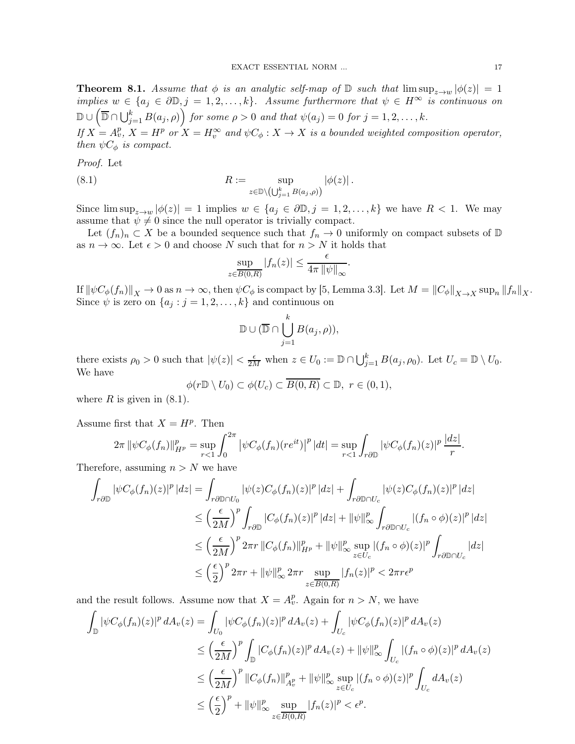<span id="page-16-1"></span>**Theorem 8.1.** Assume that  $\phi$  is an analytic self-map of  $\mathbb{D}$  such that  $\limsup_{z\to w} |\phi(z)| = 1$ implies  $w \in \{a_j \in \partial \mathbb{D}, j = 1, 2, ..., k\}$ . Assume furthermore that  $\psi \in H^\infty$  is continuous on  $\mathbb{D} \cup \left( \overline{\mathbb{D}} \cap \bigcup_{j=1}^k B(a_j,\rho) \right)$  for some  $\rho > 0$  and that  $\psi(a_j) = 0$  for  $j = 1,2,\ldots,k.$ 

If  $X = A_v^p$ ,  $X = H^p$  or  $X = H_v^{\infty}$  and  $\psi C_{\phi}: X \to X$  is a bounded weighted composition operator, then  $\psi C_{\phi}$  is compact.

Proof. Let

(8.1) 
$$
R := \sup_{z \in \mathbb{D} \setminus (\bigcup_{j=1}^k B(a_j,\rho))} |\phi(z)|.
$$

Since  $\limsup_{z\to w} |\phi(z)| = 1$  implies  $w \in \{a_j \in \partial \mathbb{D}, j = 1, 2, ..., k\}$  we have  $R < 1$ . We may assume that  $\psi \neq 0$  since the null operator is trivially compact.

Let  $(f_n)_n \subset X$  be a bounded sequence such that  $f_n \to 0$  uniformly on compact subsets of  $\mathbb D$ as  $n \to \infty$ . Let  $\epsilon > 0$  and choose N such that for  $n > N$  it holds that

<span id="page-16-0"></span>
$$
\sup_{z \in \overline{B(0,R)}} |f_n(z)| \le \frac{\epsilon}{4\pi \|\psi\|_{\infty}}.
$$

If  $\|\psi C_{\phi}(f_n)\|_X \to 0$  as  $n \to \infty$ , then  $\psi C_{\phi}$  is compact by [\[5,](#page-22-19) Lemma 3.3]. Let  $M = \|C_{\phi}\|_{X\to X} \sup_n \|f_n\|_X$ . Since  $\psi$  is zero on  $\{a_j : j = 1, 2, \ldots, k\}$  and continuous on

$$
\mathbb{D} \cup (\overline{\mathbb{D}} \cap \bigcup_{j=1}^k B(a_j,\rho)),
$$

there exists  $\rho_0 > 0$  such that  $|\psi(z)| < \frac{\epsilon}{2M}$  when  $z \in U_0 := \mathbb{D} \cap \bigcup_{j=1}^k B(a_j, \rho_0)$ . Let  $U_c = \mathbb{D} \setminus U_0$ . We have

$$
\phi(r\mathbb{D}\setminus U_0)\subset \phi(U_c)\subset \overline{B(0,R)}\subset \mathbb{D},\ r\in (0,1),
$$

where  $R$  is given in  $(8.1)$ .

Assume first that  $X = H^p$ . Then

$$
2\pi \|\psi C_{\phi}(f_n)\|_{H^p}^p = \sup_{r<1} \int_0^{2\pi} |\psi C_{\phi}(f_n)(re^{it})|^p |dt| = \sup_{r<1} \int_{r\partial\mathbb{D}} |\psi C_{\phi}(f_n)(z)|^p \frac{|dz|}{r}.
$$

Therefore, assuming  $n > N$  we have

$$
\int_{r\partial\mathbb{D}} |\psi C_{\phi}(f_n)(z)|^p |dz| = \int_{r\partial\mathbb{D}\cap U_0} |\psi(z)C_{\phi}(f_n)(z)|^p |dz| + \int_{r\partial\mathbb{D}\cap U_c} |\psi(z)C_{\phi}(f_n)(z)|^p |dz|
$$
\n
$$
\leq \left(\frac{\epsilon}{2M}\right)^p \int_{r\partial\mathbb{D}} |C_{\phi}(f_n)(z)|^p |dz| + ||\psi||_{\infty}^p \int_{r\partial\mathbb{D}\cap U_c} |(f_n \circ \phi)(z)|^p |dz|
$$
\n
$$
\leq \left(\frac{\epsilon}{2M}\right)^p 2\pi r ||C_{\phi}(f_n)||_{H^p}^p + ||\psi||_{\infty}^p \sup_{z \in U_c} |(f_n \circ \phi)(z)|^p \int_{r\partial\mathbb{D}\cap U_c} |dz|
$$
\n
$$
\leq \left(\frac{\epsilon}{2}\right)^p 2\pi r + ||\psi||_{\infty}^p 2\pi r \sup_{z \in \overline{B(0,R)}} |f_n(z)|^p < 2\pi r \epsilon^p
$$

and the result follows. Assume now that  $X = A_v^p$ . Again for  $n > N$ , we have

$$
\int_{\mathbb{D}} |\psi C_{\phi}(f_n)(z)|^p dA_v(z) = \int_{U_0} |\psi C_{\phi}(f_n)(z)|^p dA_v(z) + \int_{U_c} |\psi C_{\phi}(f_n)(z)|^p dA_v(z)
$$
\n
$$
\leq \left(\frac{\epsilon}{2M}\right)^p \int_{\mathbb{D}} |C_{\phi}(f_n)(z)|^p dA_v(z) + ||\psi||_{\infty}^p \int_{U_c} |(f_n \circ \phi)(z)|^p dA_v(z)
$$
\n
$$
\leq \left(\frac{\epsilon}{2M}\right)^p ||C_{\phi}(f_n)||_{A_v^p}^p + ||\psi||_{\infty}^p \sup_{z \in U_c} |(f_n \circ \phi)(z)|^p \int_{U_c} dA_v(z)
$$
\n
$$
\leq \left(\frac{\epsilon}{2}\right)^p + ||\psi||_{\infty}^p \sup_{z \in \overline{B(0,R)}} |f_n(z)|^p < \epsilon^p.
$$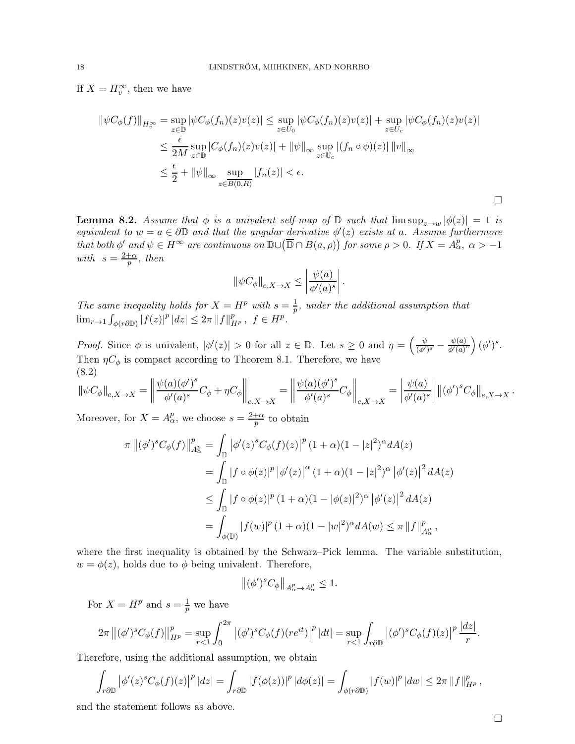If  $X = H_v^{\infty}$ , then we have

$$
\|\psi C_{\phi}(f)\|_{H_v^{\infty}} = \sup_{z \in \mathbb{D}} |\psi C_{\phi}(f_n)(z)v(z)| \le \sup_{z \in U_0} |\psi C_{\phi}(f_n)(z)v(z)| + \sup_{z \in U_c} |\psi C_{\phi}(f_n)(z)v(z)|
$$
  

$$
\le \frac{\epsilon}{2M} \sup_{z \in \mathbb{D}} |C_{\phi}(f_n)(z)v(z)| + \|\psi\|_{\infty} \sup_{z \in \mathbb{U}_c} |(f_n \circ \phi)(z)| \, \|v\|_{\infty}
$$
  

$$
\le \frac{\epsilon}{2} + \|\psi\|_{\infty} \sup_{z \in \overline{B(0,R)}} |f_n(z)| < \epsilon.
$$

<span id="page-17-0"></span>**Lemma 8.2.** Assume that  $\phi$  is a univalent self-map of  $\mathbb{D}$  such that  $\limsup_{z\to w} |\phi(z)| = 1$  is equivalent to  $w = a \in \partial \mathbb{D}$  and that the angular derivative  $\phi'(z)$  exists at a. Assume furthermore that both  $\phi'$  and  $\psi \in H^\infty$  are continuous on  $\mathbb{D}\cup (\overline{\mathbb{D}} \cap B(a,\rho))$  for some  $\rho > 0$ . If  $X = A^p_\alpha$ ,  $\alpha > -1$ with  $s = \frac{2+\alpha}{p}$ , then

$$
\|\psi C_{\phi}\|_{e, X \to X} \le \left| \frac{\psi(a)}{\phi'(a)^s} \right|.
$$

The same inequality holds for  $X = H^p$  with  $s = \frac{1}{p}$ , under the additional assumption that  $\lim_{r\to 1} \int_{\phi(r\partial\mathbb{D})} |f(z)|^p |dz| \leq 2\pi ||f||_{H^p}^p, \ f\in H^p.$ 

*Proof.* Since  $\phi$  is univalent,  $|\phi'(z)| > 0$  for all  $z \in \mathbb{D}$ . Let  $s \geq 0$  and  $\eta = \left(\frac{\psi}{\phi'}\right)$  $\frac{\psi}{(\phi')^s} - \frac{\psi(a)}{\phi'(a)}$  $\frac{\psi(a)}{\phi'(a)^s}$   $(\phi')^s$ . Then  $\eta C_{\phi}$  is compact according to Theorem [8.1.](#page-16-1) Therefore, we have (8.2)

$$
\|\psi C_{\phi}\|_{e,X\to X} = \left\|\frac{\psi(a)(\phi')^s}{\phi'(a)^s}C_{\phi} + \eta C_{\phi}\right\|_{e,X\to X} = \left\|\frac{\psi(a)(\phi')^s}{\phi'(a)^s}C_{\phi}\right\|_{e,X\to X} = \left|\frac{\psi(a)}{\phi'(a)^s}\right| \left\|(\phi')^s C_{\phi}\right\|_{e,X\to X}.
$$

Moreover, for  $X = A_{\alpha}^p$ , we choose  $s = \frac{2+\alpha}{n}$  $\frac{+\alpha}{p}$  to obtain

$$
\pi ||(\phi')^s C_{\phi}(f)||_{A_{\alpha}^p}^p = \int_{\mathbb{D}} |\phi'(z)^s C_{\phi}(f)(z)|^p (1+\alpha)(1-|z|^2)^{\alpha} dA(z)
$$
  
\n
$$
= \int_{\mathbb{D}} |f \circ \phi(z)|^p |\phi'(z)|^{\alpha} (1+\alpha)(1-|z|^2)^{\alpha} |\phi'(z)|^2 dA(z)
$$
  
\n
$$
\leq \int_{\mathbb{D}} |f \circ \phi(z)|^p (1+\alpha)(1-|\phi(z)|^2)^{\alpha} |\phi'(z)|^2 dA(z)
$$
  
\n
$$
= \int_{\phi(\mathbb{D})} |f(w)|^p (1+\alpha)(1-|w|^2)^{\alpha} dA(w) \leq \pi ||f||_{A_{\alpha}^p}^p,
$$

where the first inequality is obtained by the Schwarz–Pick lemma. The variable substitution,  $w = \phi(z)$ , holds due to  $\phi$  being univalent. Therefore,

 $\left\| (\phi')^s C_\phi \right\|_{A^p_\alpha \to A^p_\alpha} \leq 1.$ 

For  $X = H^p$  and  $s = \frac{1}{p}$  we have

$$
2\pi ||(\phi')^s C_{\phi}(f)||_{H^p}^p = \sup_{r<1} \int_0^{2\pi} |(\phi')^s C_{\phi}(f)(re^{it})|^p |dt| = \sup_{r<1} \int_{r\partial\mathbb{D}} |(\phi')^s C_{\phi}(f)(z)|^p \frac{|dz|}{r}.
$$

Therefore, using the additional assumption, we obtain

$$
\int_{r\partial\mathbb{D}}\left|\phi'(z)^sC_{\phi}(f)(z)\right|^p|dz|=\int_{r\partial\mathbb{D}}|f(\phi(z))|^p|d\phi(z)|=\int_{\phi(r\partial\mathbb{D})}|f(w)|^p|dw|\leq 2\pi\left\|f\right\|_{H^p}^p,
$$

and the statement follows as above.

 $\Box$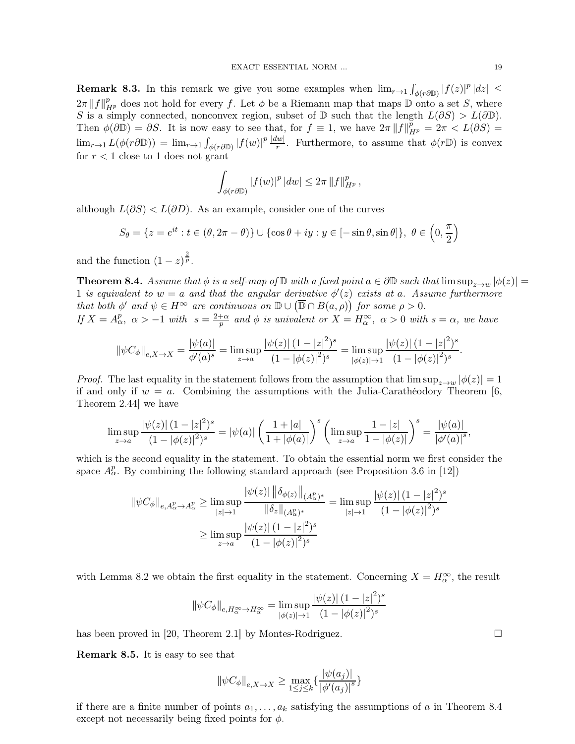**Remark 8.3.** In this remark we give you some examples when  $\lim_{r\to 1} \int_{\phi(r\partial\mathbb{D})} |f(z)|^p |dz| \leq$  $2\pi ||f||_{H^p}^p$  does not hold for every f. Let  $\phi$  be a Riemann map that maps D onto a set S, where S is a simply connected, nonconvex region, subset of  $\mathbb D$  such that the length  $L(\partial S) > L(\partial \mathbb D)$ . Then  $\phi(\partial \mathbb{D}) = \partial S$ . It is now easy to see that, for  $f \equiv 1$ , we have  $2\pi ||f||_{H^p}^p = 2\pi < L(\partial S) =$  $\lim_{r\to 1} L(\phi(r\partial \mathbb{D})) = \lim_{r\to 1} \int_{\phi(r\partial \mathbb{D})} |f(w)|^p \frac{|dw|}{r}$  $\frac{dw}{r}$ . Furthermore, to assume that  $\phi(r\mathbb{D})$  is convex for  $r < 1$  close to 1 does not grant

$$
\int_{\phi(r\partial\mathbb{D})} |f(w)|^p |dw| \leq 2\pi ||f||_{H^p}^p,
$$

although  $L(\partial S) < L(\partial D)$ . As an example, consider one of the curves

$$
S_{\theta} = \{ z = e^{it} : t \in (\theta, 2\pi - \theta) \} \cup \{ \cos \theta + iy : y \in [-\sin \theta, \sin \theta] \}, \ \theta \in \left(0, \frac{\pi}{2}\right)
$$

and the function  $(1-z)^{\frac{2}{p}}$ .

<span id="page-18-0"></span>**Theorem 8.4.** Assume that  $\phi$  is a self-map of  $\mathbb D$  with a fixed point  $a \in \partial \mathbb D$  such that  $\limsup_{z\to w} |\phi(z)| =$ 1 is equivalent to  $w = a$  and that the angular derivative  $\phi'(z)$  exists at a. Assume furthermore that both  $\phi'$  and  $\psi \in H^{\infty}$  are continuous on  $\mathbb{D} \cup (\overline{\mathbb{D}} \cap B(a, \rho))$  for some  $\rho > 0$ . If  $X = A_{\alpha}^p$ ,  $\alpha > -1$  with  $s = \frac{2+\alpha}{p}$  and  $\phi$  is univalent or  $X = H_{\alpha}^{\infty}$ ,  $\alpha > 0$  with  $s = \alpha$ , we have

$$
\|\psi C_{\phi}\|_{e, X \to X} = \frac{|\psi(a)|}{\phi'(a)^s} = \limsup_{z \to a} \frac{|\psi(z)| (1 - |z|^2)^s}{(1 - |\phi(z)|^2)^s} = \limsup_{|\phi(z)| \to 1} \frac{|\psi(z)| (1 - |z|^2)^s}{(1 - |\phi(z)|^2)^s}.
$$

*Proof.* The last equality in the statement follows from the assumption that  $\limsup_{z\to w} |\phi(z)| = 1$ if and only if  $w = a$ . Combining the assumptions with the Julia-Carathéodory Theorem [\[6,](#page-22-12) Theorem 2.44] we have

$$
\limsup_{z \to a} \frac{|\psi(z)| (1 - |z|^2)^s}{(1 - |\phi(z)|^2)^s} = |\psi(a)| \left(\frac{1 + |a|}{1 + |\phi(a)|}\right)^s \left(\limsup_{z \to a} \frac{1 - |z|}{1 - |\phi(z)|}\right)^s = \frac{|\psi(a)|}{|\phi'(a)|^s},
$$

which is the second equality in the statement. To obtain the essential norm we first consider the space  $A^p_\alpha$ . By combining the following standard approach (see Proposition 3.6 in [\[12\]](#page-22-20))

$$
\|\psi C_{\phi}\|_{e, A_{\alpha}^p \to A_{\alpha}^p} \ge \limsup_{|z| \to 1} \frac{|\psi(z)| \left\|\delta_{\phi(z)}\right\|_{(A_{\alpha}^p)^*}}{\|\delta_z\|_{(A_{\alpha}^p)^*}} = \limsup_{|z| \to 1} \frac{|\psi(z)| (1 - |z|^2)^s}{(1 - |\phi(z)|^2)^s}
$$

$$
\ge \limsup_{z \to a} \frac{|\psi(z)| (1 - |z|^2)^s}{(1 - |\phi(z)|^2)^s}
$$

with Lemma [8.2](#page-17-0) we obtain the first equality in the statement. Concerning  $X = H_{\alpha}^{\infty}$ , the result

$$
\|\psi C_{\phi}\|_{e, H_{\alpha}^{\infty} \to H_{\alpha}^{\infty}} = \limsup_{|\phi(z)| \to 1} \frac{|\psi(z)| (1 - |z|^2)^s}{(1 - |\phi(z)|^2)^s}
$$

has been proved in [\[20,](#page-22-15) Theorem 2.1] by Montes-Rodriguez.  $\Box$ 

Remark 8.5. It is easy to see that

$$
\|\psi C_{\phi}\|_{e, X \to X} \ge \max_{1 \le j \le k} \{\frac{|\psi(a_j)|}{|\phi'(a_j)|^s}\}
$$

if there are a finite number of points  $a_1, \ldots, a_k$  satisfying the assumptions of a in Theorem [8.4](#page-18-0) except not necessarily being fixed points for  $\phi$ .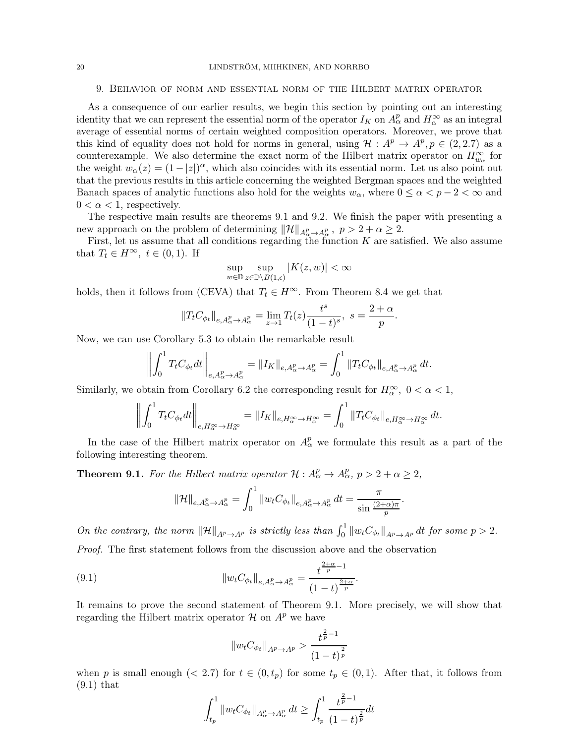#### <span id="page-19-0"></span>9. Behavior of norm and essential norm of the Hilbert matrix operator

As a consequence of our earlier results, we begin this section by pointing out an interesting identity that we can represent the essential norm of the operator  $I_K$  on  $A_\alpha^p$  and  $H_\alpha^\infty$  as an integral average of essential norms of certain weighted composition operators. Moreover, we prove that this kind of equality does not hold for norms in general, using  $\mathcal{H}: A^p \to A^p, p \in (2, 2.7)$  as a counterexample. We also determine the exact norm of the Hilbert matrix operator on  $H_{w_\alpha}^{\infty}$  for the weight  $w_{\alpha}(z) = (1 - |z|)^{\alpha}$ , which also coincides with its essential norm. Let us also point out that the previous results in this article concerning the weighted Bergman spaces and the weighted Banach spaces of analytic functions also hold for the weights  $w_{\alpha}$ , where  $0 \leq \alpha < p-2 < \infty$  and  $0 < \alpha < 1$ , respectively.

The respective main results are theorems [9.1](#page-19-1) and [9.2.](#page-20-0) We finish the paper with presenting a new approach on the problem of determining  $\|\mathcal{H}\|_{A^p_{\alpha} \to A^p_{\alpha}}$ ,  $p > 2 + \alpha \geq 2$ .

First, let us assume that all conditions regarding the function  $K$  are satisfied. We also assume that  $T_t \in H^{\infty}$ ,  $t \in (0,1)$ . If

$$
\sup_{w\in\mathbb{D}}\sup_{z\in\mathbb{D}\backslash B(1,\epsilon)}|K(z,w)|<\infty
$$

holds, then it follows from [\(CEVA\)](#page-7-0) that  $T_t \in H^\infty$ . From Theorem [8.4](#page-18-0) we get that

$$
||T_t C_{\phi_t}||_{e, A_{\alpha}^p \to A_{\alpha}^p} = \lim_{z \to 1} T_t(z) \frac{t^s}{(1-t)^s}, \ s = \frac{2+\alpha}{p}.
$$

Now, we can use Corollary [5.3](#page-8-0) to obtain the remarkable result

$$
\left\| \int_0^1 T_t C_{\phi_t} dt \right\|_{e, A^p_\alpha \to A^p_\alpha} = \| I_K \|_{e, A^p_\alpha \to A^p_\alpha} = \int_0^1 \| T_t C_{\phi_t} \|_{e, A^p_\alpha \to A^p_\alpha} dt.
$$

Similarly, we obtain from Corollary [6.2](#page-12-4) the corresponding result for  $H_{\alpha}^{\infty}$ ,  $0 < \alpha < 1$ ,

$$
\left\| \int_0^1 T_t C_{\phi_t} dt \right\|_{e, H_{\alpha}^{\infty} \to H_{\alpha}^{\infty}} = \|I_K\|_{e, H_{\alpha}^{\infty} \to H_{\alpha}^{\infty}} = \int_0^1 \|T_t C_{\phi_t}\|_{e, H_{\alpha}^{\infty} \to H_{\alpha}^{\infty}} dt.
$$

In the case of the Hilbert matrix operator on  $A_{\alpha}^{p}$  we formulate this result as a part of the following interesting theorem.

<span id="page-19-1"></span>**Theorem 9.1.** For the Hilbert matrix operator  $\mathcal{H}: A_{\alpha}^p \to A_{\alpha}^p, p > 2 + \alpha \geq 2$ ,

$$
\|\mathcal{H}\|_{e,A^p_\alpha\to A^p_\alpha}=\int_0^1\|w_tC_{\phi_t}\|_{e,A^p_\alpha\to A^p_\alpha}\,dt=\frac{\pi}{\sin\frac{(2+\alpha)\pi}{p}}.
$$

On the contrary, the norm  $||\mathcal{H}||_{A^p\to A^p}$  is strictly less than  $\int_0^1 ||w_tC_{\phi_t}||_{A^p\to A^p}$  dt for some  $p > 2$ .

Proof. The first statement follows from the discussion above and the observation

(9.1) 
$$
||w_t C_{\phi_t}||_{e, A^p_\alpha \to A^p_\alpha} = \frac{t^{\frac{2+\alpha}{p}-1}}{(1-t)^{\frac{2+\alpha}{p}}}.
$$

It remains to prove the second statement of Theorem [9.1.](#page-19-1) More precisely, we will show that regarding the Hilbert matrix operator  $\mathcal H$  on  $A^p$  we have

<span id="page-19-2"></span>
$$
||w_t C_{\phi_t}||_{A^p \to A^p} > \frac{t^{\frac{2}{p}-1}}{(1-t)^{\frac{2}{p}}}
$$

when p is small enough (< 2.7) for  $t \in (0, t_p)$  for some  $t_p \in (0, 1)$ . After that, it follows from [\(9.1\)](#page-19-2) that

$$
\int_{t_p}^1 \|w_t C_{\phi_t}\|_{A^p_{\alpha} \to A^p_{\alpha}} dt \ge \int_{t_p}^1 \frac{t^{\frac{2}{p}-1}}{(1-t)^{\frac{2}{p}}} dt
$$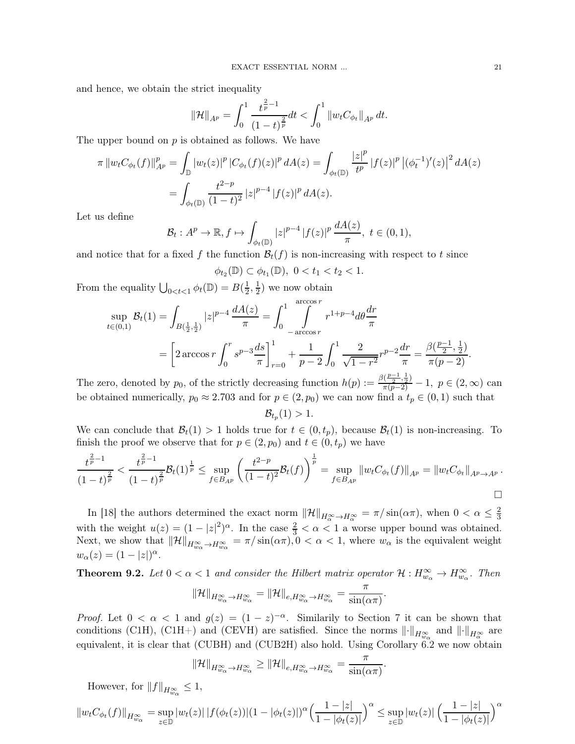and hence, we obtain the strict inequality

$$
\|\mathcal{H}\|_{A^p} = \int_0^1 \frac{t^{\frac{2}{p}-1}}{(1-t)^{\frac{2}{p}}} dt < \int_0^1 \|w_t C_{\phi_t}\|_{A^p} dt.
$$

The upper bound on  $p$  is obtained as follows. We have

$$
\pi \|w_t C_{\phi_t}(f)\|_{A^p}^p = \int_{\mathbb{D}} |w_t(z)|^p |C_{\phi_t}(f)(z)|^p dA(z) = \int_{\phi_t(\mathbb{D})} \frac{|z|^p}{t^p} |f(z)|^p |(\phi_t^{-1})'(z)|^2 dA(z)
$$
  
= 
$$
\int_{\phi_t(\mathbb{D})} \frac{t^{2-p}}{(1-t)^2} |z|^{p-4} |f(z)|^p dA(z).
$$

Let us define

$$
\mathcal{B}_t: A^p \to \mathbb{R}, f \mapsto \int_{\phi_t(\mathbb{D})} |z|^{p-4} |f(z)|^p \, \frac{dA(z)}{\pi}, \ t \in (0, 1),
$$

and notice that for a fixed f the function  $\mathcal{B}_t(f)$  is non-increasing with respect to t since

$$
\phi_{t_2}(\mathbb{D}) \subset \phi_{t_1}(\mathbb{D}), \ 0 < t_1 < t_2 < 1.
$$

From the equality  $\bigcup_{0 < t < 1} \phi_t(\mathbb{D}) = B(\frac{1}{2})$  $\frac{1}{2}, \frac{1}{2}$  $(\frac{1}{2})$  we now obtain

$$
\sup_{t \in (0,1)} \mathcal{B}_t(1) = \int_{B(\frac{1}{2},\frac{1}{2})} |z|^{p-4} \frac{dA(z)}{\pi} = \int_0^1 \int_{-\arccos r}^{\arccos r} r^{1+p-4} d\theta \frac{dr}{\pi}
$$
  
=  $\left[2 \arccos r \int_0^r s^{p-3} \frac{ds}{\pi} \right]_{r=0}^1 + \frac{1}{p-2} \int_0^1 \frac{2}{\sqrt{1-r^2}} r^{p-2} \frac{dr}{\pi} = \frac{\beta(\frac{p-1}{2},\frac{1}{2})}{\pi(p-2)}.$ 

The zero, denoted by  $p_0$ , of the strictly decreasing function  $h(p) := \frac{\beta(\frac{p-1}{2}, \frac{1}{2})}{\pi(p-2)} - 1$ ,  $p \in (2, \infty)$  can be obtained numerically,  $p_0 \approx 2.703$  and for  $p \in (2, p_0)$  we can now find a  $t_p \in (0, 1)$  such that

 $\mathcal{B}_{t_p}(1) > 1.$ 

We can conclude that  $\mathcal{B}_t(1) > 1$  holds true for  $t \in (0, t_p)$ , because  $\mathcal{B}_t(1)$  is non-increasing. To finish the proof we observe that for  $p \in (2, p_0)$  and  $t \in (0, t_p)$  we have

$$
\frac{t^{\frac{2}{p}-1}}{(1-t)^{\frac{2}{p}}}<\frac{t^{\frac{2}{p}-1}}{(1-t)^{\frac{2}{p}}}\mathcal{B}_t(1)^{\frac{1}{p}}\leq \sup_{f\in B_{A^p}}\left(\frac{t^{2-p}}{(1-t)^2}\mathcal{B}_t(f)\right)^{\frac{1}{p}}=\sup_{f\in B_{A^p}}\|w_tC_{\phi_t}(f)\|_{A^p}=\|w_tC_{\phi_t}\|_{A^p\to A^p}.
$$

In [\[18\]](#page-22-4) the authors determined the exact norm  $\|\mathcal{H}\|_{H^{\infty}_{\alpha}\to H^{\infty}_{\alpha}} = \pi/\sin(\alpha\pi)$ , when  $0 < \alpha \leq \frac{2}{3}$ 3 with the weight  $u(z) = (1 - |z|^2)^{\alpha}$ . In the case  $\frac{2}{3} < \alpha < 1$  a worse upper bound was obtained. Next, we show that  $\|\mathcal{H}\|_{H^{\infty}_{w_{\alpha}}\to H^{\infty}_{w_{\alpha}}} = \pi/\sin(\alpha\pi), 0 < \alpha < 1$ , where  $w_{\alpha}$  is the equivalent weight  $w_{\alpha}(z) = (1 - |z|)^{\alpha}.$ 

<span id="page-20-0"></span>**Theorem 9.2.** Let  $0 < \alpha < 1$  and consider the Hilbert matrix operator  $\mathcal{H}: H_{w_\alpha}^{\infty} \to H_{w_\alpha}^{\infty}$ . Then  $\|\mathcal{H}\|_{H^{\infty}_{w_{\alpha}} \to H^{\infty}_{w_{\alpha}}} = \|\mathcal{H}\|_{e, H^{\infty}_{w_{\alpha}} \to H^{\infty}_{w_{\alpha}}} = \frac{\pi}{\sin(\alpha)}$  $\frac{n}{\sin(\alpha\pi)}$ .

*Proof.* Let  $0 < \alpha < 1$  and  $g(z) = (1 - z)^{-\alpha}$ . Similarly to Section [7](#page-12-0) it can be shown that conditions [\(C1H\)](#page-10-3), [\(C1H+\)](#page-10-5) and [\(CEVH\)](#page-10-4) are satisfied. Since the norms  $\lVert \cdot \rVert_{H^{\infty}_{w_{\alpha}}}$  and  $\lVert \cdot \rVert_{H^{\infty}_{\alpha}}$  are equivalent, it is clear that [\(CUBH\)](#page-4-5) and [\(CUB2H\)](#page-4-4) also hold. Using Corollary [6.2](#page-12-4) we now obtain

$$
\|\mathcal{H}\|_{H^{\infty}_{w_{\alpha}} \to H^{\infty}_{w_{\alpha}}} \ge \|\mathcal{H}\|_{e, H^{\infty}_{w_{\alpha}} \to H^{\infty}_{w_{\alpha}}} = \frac{\pi}{\sin(\alpha \pi)}.
$$

However, for  $||f||_{H_{w_\alpha}^{\infty}} \leq 1$ ,

$$
||w_t C_{\phi_t}(f)||_{H^{\infty}_{w_\alpha}} = \sup_{z \in \mathbb{D}} |w_t(z)| |f(\phi_t(z))| (1 - |\phi_t(z)|)^{\alpha} \Big(\frac{1 - |z|}{1 - |\phi_t(z)|}\Big)^{\alpha} \leq \sup_{z \in \mathbb{D}} |w_t(z)| \left(\frac{1 - |z|}{1 - |\phi_t(z)|}\right)^{\alpha}
$$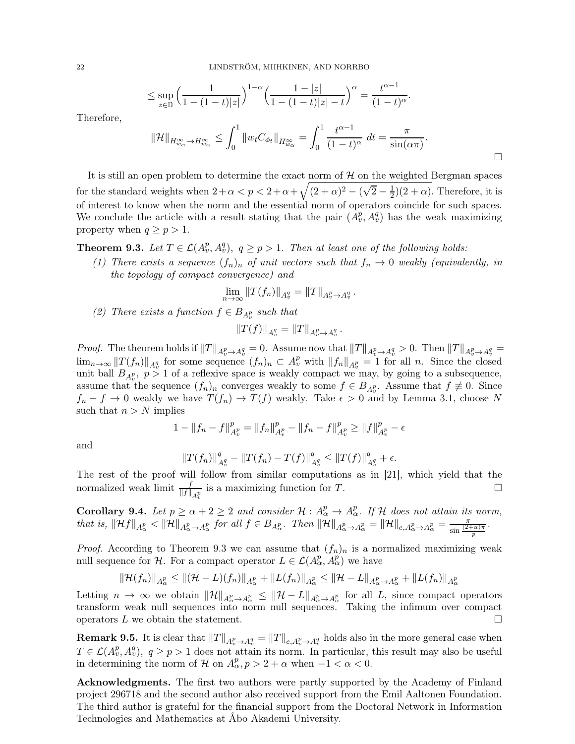$$
\leq \sup_{z \in \mathbb{D}} \left( \frac{1}{1 - (1 - t)|z|} \right)^{1 - \alpha} \left( \frac{1 - |z|}{1 - (1 - t)|z| - t} \right)^{\alpha} = \frac{t^{\alpha - 1}}{(1 - t)^{\alpha}}.
$$

Therefore,

$$
\|\mathcal{H}\|_{H^{\infty}_{w_{\alpha}}\to H^{\infty}_{w_{\alpha}}} \leq \int_0^1 \|w_t C_{\phi_t}\|_{H^{\infty}_{w_{\alpha}}} = \int_0^1 \frac{t^{\alpha-1}}{(1-t)^{\alpha}} dt = \frac{\pi}{\sin(\alpha \pi)}.
$$

It is still an open problem to determine the exact norm of  $H$  on the weighted Bergman spaces for the standard weights when  $2 + \alpha < p < 2 + \alpha + \sqrt{(2 + \alpha)^2 - (\sqrt{2} - \frac{1}{2})^2}$  $(\frac{1}{2})(2+\alpha)$ . Therefore, it is of interest to know when the norm and the essential norm of operators coincide for such spaces. We conclude the article with a result stating that the pair  $(A_v^p, A_v^q)$  has the weak maximizing property when  $q \geq p > 1$ .

<span id="page-21-0"></span>**Theorem 9.3.** Let  $T \in \mathcal{L}(A_v^p, A_v^q)$ ,  $q \geq p > 1$ . Then at least one of the following holds:

(1) There exists a sequence  $(f_n)_n$  of unit vectors such that  $f_n \to 0$  weakly (equivalently, in the topology of compact convergence) and

$$
\lim_{n \to \infty} ||T(f_n)||_{A_v^q} = ||T||_{A_v^p \to A_v^q}.
$$

(2) There exists a function  $f \in B_{A_v^p}$  such that

$$
||T(f)||_{A_v^q} = ||T||_{A_v^p \to A_v^q}.
$$

*Proof.* The theorem holds if  $||T||_{A_v^p \to A_v^q} = 0$ . Assume now that  $||T||_{A_v^p \to A_v^q} > 0$ . Then  $||T||_{A_v^p \to A_v^q} =$  $\lim_{n\to\infty} ||T(f_n)||_{A_v^q}$  for some sequence  $(f_n)_n \subset A_v^p$  with  $||f_n||_{A_v^p} = 1$  for all n. Since the closed unit ball  $B_{A_v^p}$ ,  $p > 1$  of a reflexive space is weakly compact we may, by going to a subsequence, assume that the sequence  $(f_n)_n$  converges weakly to some  $f \in B_{A_v^p}$ . Assume that  $f \neq 0$ . Since  $f_n - f \to 0$  weakly we have  $T(f_n) \to T(f)$  weakly. Take  $\epsilon > 0$  and by Lemma [3.1,](#page-3-1) choose N such that  $n > N$  implies

$$
1-\|f_n-f\|_{A^p_v}^p=\|f_n\|_{A^p_v}^p-\|f_n-f\|_{A^p_v}^p\geq \|f\|_{A^p_v}^p-\epsilon
$$

and

$$
||T(f_n)||_{A_v^q}^q - ||T(f_n) - T(f)||_{A_v^q}^q \le ||T(f)||_{A_v^q}^q + \epsilon.
$$

The rest of the proof will follow from similar computations as in [\[21\]](#page-22-11), which yield that the normalized weak limit  $\frac{f}{\|f\|_{A_v^p}}$  is a maximizing function for T.

Corollary 9.4. Let  $p \ge \alpha + 2 \ge 2$  and consider  $\mathcal{H}: A_{\alpha}^p \to A_{\alpha}^p$ . If  $\mathcal{H}$  does not attain its norm, that is,  $\|\mathcal{H}f\|_{A^p_\alpha} < \|\mathcal{H}\|_{A^p_\alpha \to A^p_\alpha}$  for all  $f \in B_{A^p_\alpha}$ . Then  $\|\mathcal{H}\|_{A^p_\alpha \to A^p_\alpha} = \|\mathcal{H}\|_{e, A^p_\alpha \to A^p_\alpha} = \frac{\pi}{\sin \frac{(2\pi)^p}{2}}$  $\sin \frac{(2+\alpha)\pi}{p}$ .

*Proof.* According to Theorem [9.3](#page-21-0) we can assume that  $(f_n)_n$  is a normalized maximizing weak null sequence for H. For a compact operator  $L \in \mathcal{L}(A_{\alpha}^p, A_{\alpha}^p)$  we have

$$
\|\mathcal{H}(f_n)\|_{A^p_{\alpha}} \leq \|(\mathcal{H} - L)(f_n)\|_{A^p_{\alpha}} + \|L(f_n)\|_{A^p_{\alpha}} \leq \|\mathcal{H} - L\|_{A^p_{\alpha} \to A^p_{\alpha}} + \|L(f_n)\|_{A^p_{\alpha}}
$$

Letting  $n \to \infty$  we obtain  $\|\mathcal{H}\|_{A^p_{\alpha} \to A^p_{\alpha}} \leq \|\mathcal{H} - L\|_{A^p_{\alpha} \to A^p_{\alpha}}$  for all L, since compact operators transform weak null sequences into norm null sequences. Taking the infimum over compact operators  $L$  we obtain the statement.

**Remark 9.5.** It is clear that  $||T||_{A_v^p \to A_v^q} = ||T||_{e, A_v^p \to A_v^q}$  holds also in the more general case when  $T \in \mathcal{L}(A_v^p, A_v^q), q \geq p > 1$  does not attain its norm. In particular, this result may also be useful in determining the norm of  $\mathcal{H}$  on  $A_{\alpha}^p, p > 2 + \alpha$  when  $-1 < \alpha < 0$ .

Acknowledgments. The first two authors were partly supported by the Academy of Finland project 296718 and the second author also received support from the Emil Aaltonen Foundation. The third author is grateful for the financial support from the Doctoral Network in Information Technologies and Mathematics at Åbo Akademi University.